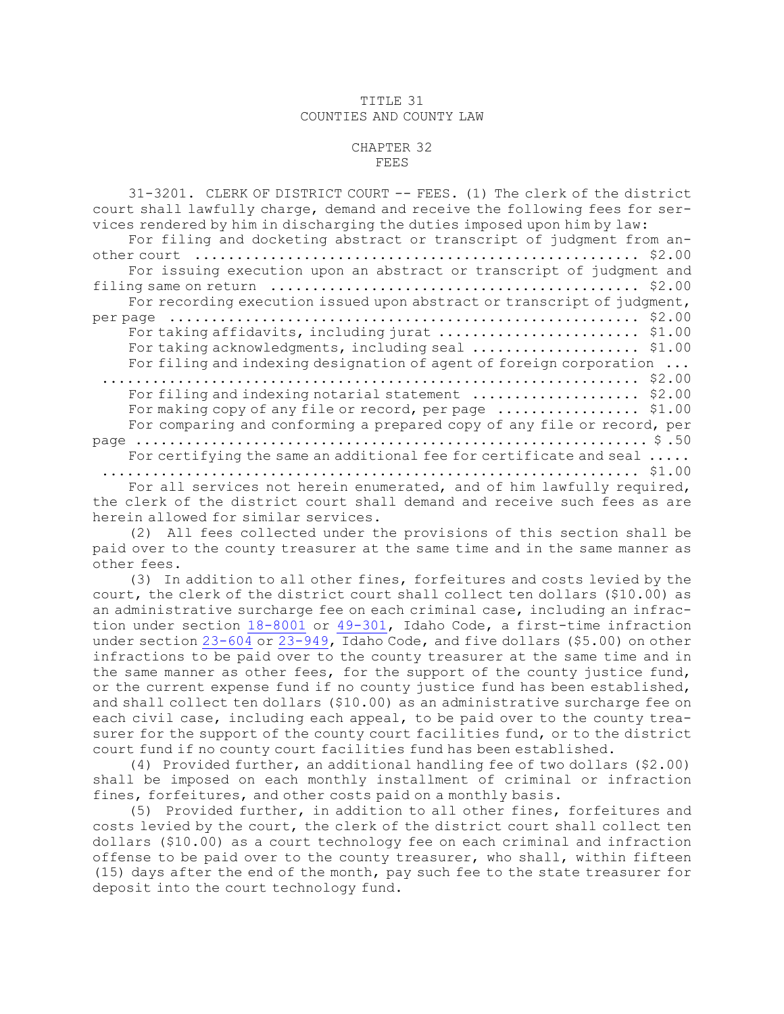## TITLE 31 COUNTIES AND COUNTY LAW

## CHAPTER 32 FEES

| 31-3201. CLERK OF DISTRICT COURT -- FEES. (1) The clerk of the district     |
|-----------------------------------------------------------------------------|
| court shall lawfully charge, demand and receive the following fees for ser- |
| vices rendered by him in discharging the duties imposed upon him by law:    |
| For filing and docketing abstract or transcript of judgment from an-        |
|                                                                             |
| For issuing execution upon an abstract or transcript of judgment and        |
|                                                                             |
| For recording execution issued upon abstract or transcript of judgment,     |
| \$2.00                                                                      |
| For taking affidavits, including jurat<br>\$1.00                            |
| For taking acknowledgments, including seal  \$1.00                          |
| For filing and indexing designation of agent of foreign corporation         |
| \$2.00                                                                      |
| For filing and indexing notarial statement<br>\$2.00                        |
| For making copy of any file or record, per page  \$1.00                     |
| For comparing and conforming a prepared copy of any file or record, per     |
|                                                                             |
| For certifying the same an additional fee for certificate and seal          |
|                                                                             |
| For all services not herein enumerated, and of him lawfully required,       |
| the clerk of the district court shall demand and receive such fees as are   |
| herein allowed for similar services.                                        |

(2) All fees collected under the provisions of this section shall be paid over to the county treasurer at the same time and in the same manner as other fees.

(3) In addition to all other fines, forfeitures and costs levied by the court, the clerk of the district court shall collect ten dollars (\$10.00) as an administrative surcharge fee on each criminal case, including an infraction under section [18-8001](https://legislature.idaho.gov/statutesrules/idstat/Title18/T18CH80/SECT18-8001) or [49-301](https://legislature.idaho.gov/statutesrules/idstat/Title49/T49CH3/SECT49-301), Idaho Code, <sup>a</sup> first-time infraction under section [23-604](https://legislature.idaho.gov/statutesrules/idstat/Title23/T23CH6/SECT23-604) or [23-949](https://legislature.idaho.gov/statutesrules/idstat/Title23/T23CH9/SECT23-949), Idaho Code, and five dollars (\$5.00) on other infractions to be paid over to the county treasurer at the same time and in the same manner as other fees, for the support of the county justice fund, or the current expense fund if no county justice fund has been established, and shall collect ten dollars (\$10.00) as an administrative surcharge fee on each civil case, including each appeal, to be paid over to the county treasurer for the support of the county court facilities fund, or to the district court fund if no county court facilities fund has been established.

(4) Provided further, an additional handling fee of two dollars (\$2.00) shall be imposed on each monthly installment of criminal or infraction fines, forfeitures, and other costs paid on <sup>a</sup> monthly basis.

(5) Provided further, in addition to all other fines, forfeitures and costs levied by the court, the clerk of the district court shall collect ten dollars (\$10.00) as <sup>a</sup> court technology fee on each criminal and infraction offense to be paid over to the county treasurer, who shall, within fifteen (15) days after the end of the month, pay such fee to the state treasurer for deposit into the court technology fund.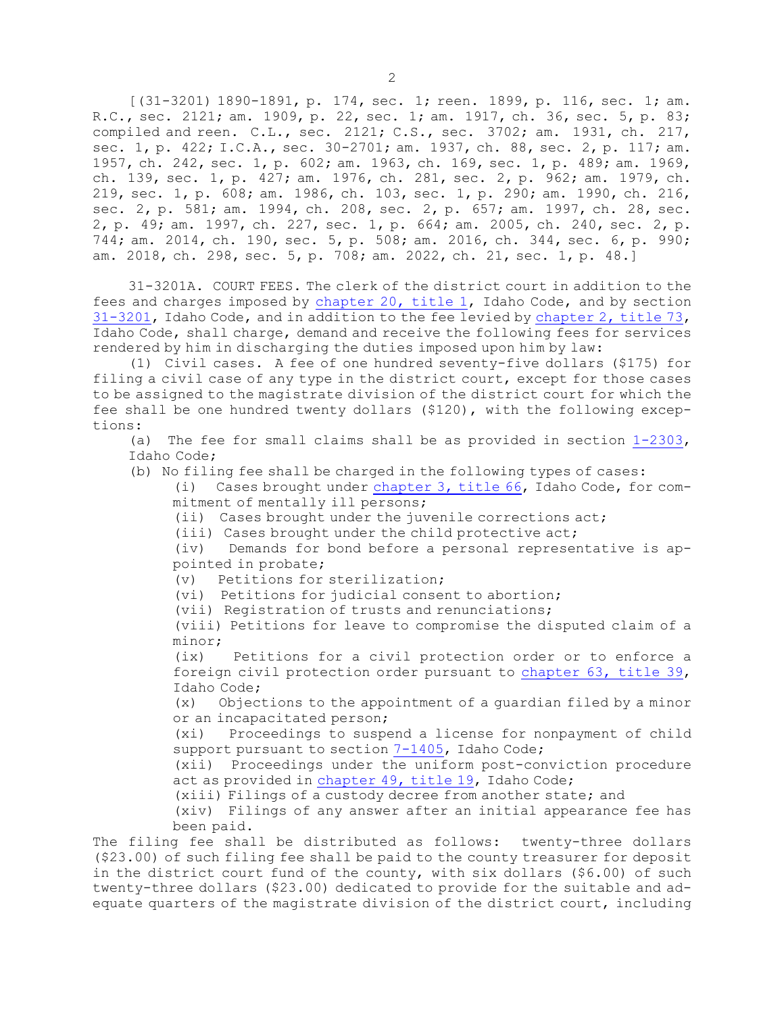[(31-3201) 1890-1891, p. 174, sec. 1; reen. 1899, p. 116, sec. 1; am. R.C., sec. 2121; am. 1909, p. 22, sec. 1; am. 1917, ch. 36, sec. 5, p. 83; compiled and reen. C.L., sec. 2121; C.S., sec. 3702; am. 1931, ch. 217, sec. 1, p. 422; I.C.A., sec. 30-2701; am. 1937, ch. 88, sec. 2, p. 117; am. 1957, ch. 242, sec. 1, p. 602; am. 1963, ch. 169, sec. 1, p. 489; am. 1969, ch. 139, sec. 1, p. 427; am. 1976, ch. 281, sec. 2, p. 962; am. 1979, ch. 219, sec. 1, p. 608; am. 1986, ch. 103, sec. 1, p. 290; am. 1990, ch. 216, sec. 2, p. 581; am. 1994, ch. 208, sec. 2, p. 657; am. 1997, ch. 28, sec. 2, p. 49; am. 1997, ch. 227, sec. 1, p. 664; am. 2005, ch. 240, sec. 2, p. 744; am. 2014, ch. 190, sec. 5, p. 508; am. 2016, ch. 344, sec. 6, p. 990; am. 2018, ch. 298, sec. 5, p. 708; am. 2022, ch. 21, sec. 1, p. 48.]

31-3201A. COURT FEES. The clerk of the district court in addition to the fees and charges imposed by [chapter](https://legislature.idaho.gov/statutesrules/idstat/Title1/T1CH20) 20, title 1, Idaho Code, and by section [31-3201](https://legislature.idaho.gov/statutesrules/idstat/Title31/T31CH32/SECT31-3201), Idaho Code, and in addition to the fee levied by [chapter](https://legislature.idaho.gov/statutesrules/idstat/Title73/T73CH2) 2, title 73, Idaho Code, shall charge, demand and receive the following fees for services rendered by him in discharging the duties imposed upon him by law:

(1) Civil cases. <sup>A</sup> fee of one hundred seventy-five dollars (\$175) for filing <sup>a</sup> civil case of any type in the district court, except for those cases to be assigned to the magistrate division of the district court for which the fee shall be one hundred twenty dollars (\$120), with the following exceptions:

(a) The fee for small claims shall be as provided in section [1-2303](https://legislature.idaho.gov/statutesrules/idstat/Title1/T1CH23/SECT1-2303), Idaho Code;

(b) No filing fee shall be charged in the following types of cases:

(i) Cases brought under [chapter](https://legislature.idaho.gov/statutesrules/idstat/Title66/T66CH3) 3, title 66, Idaho Code, for commitment of mentally ill persons;

(ii) Cases brought under the juvenile corrections act;

(iii) Cases brought under the child protective act;

(iv) Demands for bond before <sup>a</sup> personal representative is appointed in probate;

(v) Petitions for sterilization;

(vi) Petitions for judicial consent to abortion;

(vii) Registration of trusts and renunciations;

(viii) Petitions for leave to compromise the disputed claim of <sup>a</sup> minor;

(ix) Petitions for <sup>a</sup> civil protection order or to enforce <sup>a</sup> foreign civil protection order pursuant to [chapter](https://legislature.idaho.gov/statutesrules/idstat/Title39/T39CH63) 63, title 39, Idaho Code;

(x) Objections to the appointment of <sup>a</sup> guardian filed by <sup>a</sup> minor or an incapacitated person;

(xi) Proceedings to suspend <sup>a</sup> license for nonpayment of child support pursuant to section [7-1405](https://legislature.idaho.gov/statutesrules/idstat/Title7/T7CH14/SECT7-1405), Idaho Code;

(xii) Proceedings under the uniform post-conviction procedure act as provided in [chapter](https://legislature.idaho.gov/statutesrules/idstat/Title19/T19CH49) 49, title 19, Idaho Code;

(xiii) Filings of <sup>a</sup> custody decree from another state; and

(xiv) Filings of any answer after an initial appearance fee has been paid.

The filing fee shall be distributed as follows: twenty-three dollars (\$23.00) of such filing fee shall be paid to the county treasurer for deposit in the district court fund of the county, with six dollars (\$6.00) of such twenty-three dollars (\$23.00) dedicated to provide for the suitable and adequate quarters of the magistrate division of the district court, including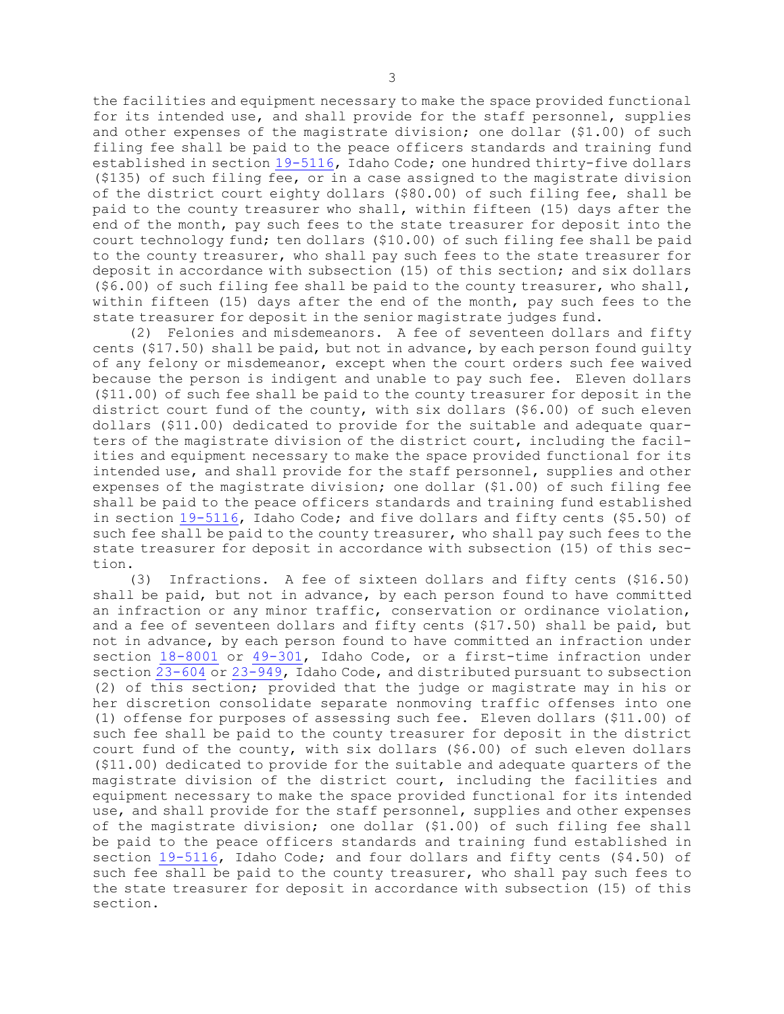the facilities and equipment necessary to make the space provided functional for its intended use, and shall provide for the staff personnel, supplies and other expenses of the magistrate division; one dollar (\$1.00) of such filing fee shall be paid to the peace officers standards and training fund established in section [19-5116](https://legislature.idaho.gov/statutesrules/idstat/Title19/T19CH51/SECT19-5116), Idaho Code; one hundred thirty-five dollars (\$135) of such filing fee, or in <sup>a</sup> case assigned to the magistrate division of the district court eighty dollars (\$80.00) of such filing fee, shall be paid to the county treasurer who shall, within fifteen (15) days after the end of the month, pay such fees to the state treasurer for deposit into the court technology fund; ten dollars (\$10.00) of such filing fee shall be paid to the county treasurer, who shall pay such fees to the state treasurer for deposit in accordance with subsection (15) of this section; and six dollars  $(56.00)$  of such filing fee shall be paid to the county treasurer, who shall, within fifteen (15) days after the end of the month, pay such fees to the state treasurer for deposit in the senior magistrate judges fund.

(2) Felonies and misdemeanors. <sup>A</sup> fee of seventeen dollars and fifty cents (\$17.50) shall be paid, but not in advance, by each person found guilty of any felony or misdemeanor, except when the court orders such fee waived because the person is indigent and unable to pay such fee. Eleven dollars (\$11.00) of such fee shall be paid to the county treasurer for deposit in the district court fund of the county, with six dollars (\$6.00) of such eleven dollars (\$11.00) dedicated to provide for the suitable and adequate quarters of the magistrate division of the district court, including the facilities and equipment necessary to make the space provided functional for its intended use, and shall provide for the staff personnel, supplies and other expenses of the magistrate division; one dollar (\$1.00) of such filing fee shall be paid to the peace officers standards and training fund established in section [19-5116](https://legislature.idaho.gov/statutesrules/idstat/Title19/T19CH51/SECT19-5116), Idaho Code; and five dollars and fifty cents (\$5.50) of such fee shall be paid to the county treasurer, who shall pay such fees to the state treasurer for deposit in accordance with subsection (15) of this section.

(3) Infractions. <sup>A</sup> fee of sixteen dollars and fifty cents (\$16.50) shall be paid, but not in advance, by each person found to have committed an infraction or any minor traffic, conservation or ordinance violation, and <sup>a</sup> fee of seventeen dollars and fifty cents (\$17.50) shall be paid, but not in advance, by each person found to have committed an infraction under section [18-8001](https://legislature.idaho.gov/statutesrules/idstat/Title18/T18CH80/SECT18-8001) or [49-301](https://legislature.idaho.gov/statutesrules/idstat/Title49/T49CH3/SECT49-301), Idaho Code, or <sup>a</sup> first-time infraction under section [23-604](https://legislature.idaho.gov/statutesrules/idstat/Title23/T23CH6/SECT23-604) or [23-949](https://legislature.idaho.gov/statutesrules/idstat/Title23/T23CH9/SECT23-949), Idaho Code, and distributed pursuant to subsection (2) of this section; provided that the judge or magistrate may in his or her discretion consolidate separate nonmoving traffic offenses into one (1) offense for purposes of assessing such fee. Eleven dollars (\$11.00) of such fee shall be paid to the county treasurer for deposit in the district court fund of the county, with six dollars (\$6.00) of such eleven dollars (\$11.00) dedicated to provide for the suitable and adequate quarters of the magistrate division of the district court, including the facilities and equipment necessary to make the space provided functional for its intended use, and shall provide for the staff personnel, supplies and other expenses of the magistrate division; one dollar (\$1.00) of such filing fee shall be paid to the peace officers standards and training fund established in section [19-5116](https://legislature.idaho.gov/statutesrules/idstat/Title19/T19CH51/SECT19-5116), Idaho Code; and four dollars and fifty cents (\$4.50) of such fee shall be paid to the county treasurer, who shall pay such fees to the state treasurer for deposit in accordance with subsection (15) of this section.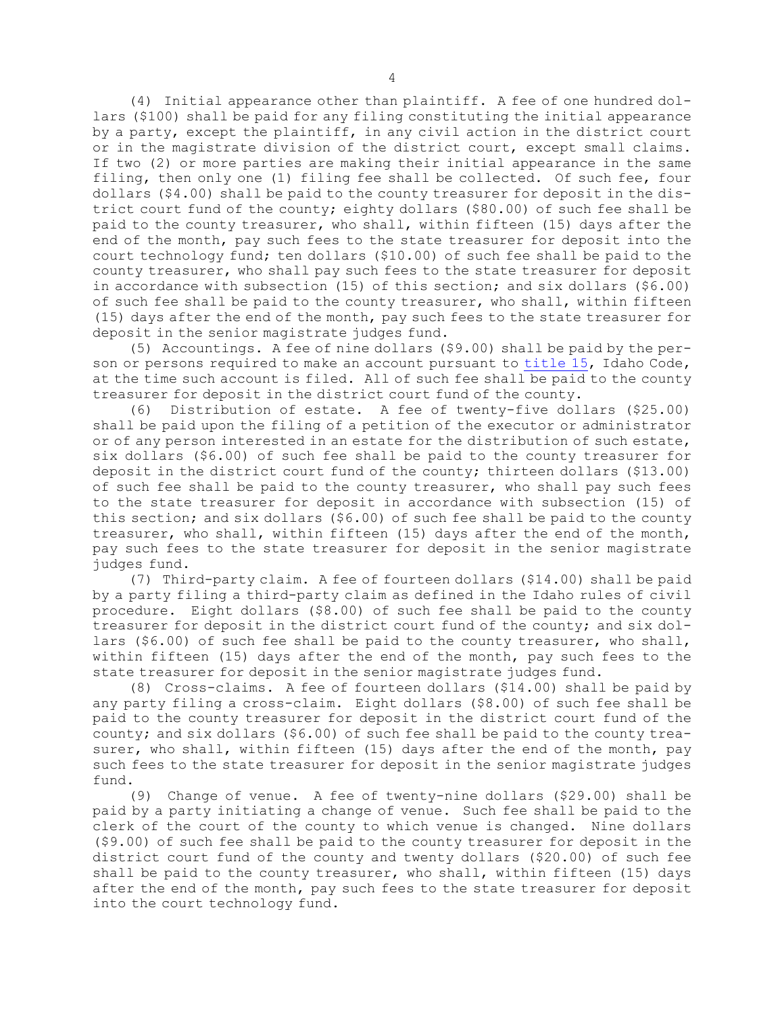(4) Initial appearance other than plaintiff. <sup>A</sup> fee of one hundred dollars (\$100) shall be paid for any filing constituting the initial appearance by <sup>a</sup> party, except the plaintiff, in any civil action in the district court or in the magistrate division of the district court, except small claims. If two (2) or more parties are making their initial appearance in the same filing, then only one (1) filing fee shall be collected. Of such fee, four dollars (\$4.00) shall be paid to the county treasurer for deposit in the district court fund of the county; eighty dollars (\$80.00) of such fee shall be paid to the county treasurer, who shall, within fifteen (15) days after the end of the month, pay such fees to the state treasurer for deposit into the court technology fund; ten dollars (\$10.00) of such fee shall be paid to the county treasurer, who shall pay such fees to the state treasurer for deposit in accordance with subsection (15) of this section; and six dollars (\$6.00) of such fee shall be paid to the county treasurer, who shall, within fifteen (15) days after the end of the month, pay such fees to the state treasurer for deposit in the senior magistrate judges fund.

(5) Accountings. <sup>A</sup> fee of nine dollars (\$9.00) shall be paid by the person or persons required to make an account pursuant to [title](https://legislature.idaho.gov/statutesrules/idstat/Title15/) 15, Idaho Code, at the time such account is filed. All of such fee shall be paid to the county treasurer for deposit in the district court fund of the county.

(6) Distribution of estate. <sup>A</sup> fee of twenty-five dollars (\$25.00) shall be paid upon the filing of <sup>a</sup> petition of the executor or administrator or of any person interested in an estate for the distribution of such estate, six dollars (\$6.00) of such fee shall be paid to the county treasurer for deposit in the district court fund of the county; thirteen dollars (\$13.00) of such fee shall be paid to the county treasurer, who shall pay such fees to the state treasurer for deposit in accordance with subsection (15) of this section; and six dollars (\$6.00) of such fee shall be paid to the county treasurer, who shall, within fifteen (15) days after the end of the month, pay such fees to the state treasurer for deposit in the senior magistrate judges fund.

(7) Third-party claim. <sup>A</sup> fee of fourteen dollars (\$14.00) shall be paid by <sup>a</sup> party filing <sup>a</sup> third-party claim as defined in the Idaho rules of civil procedure. Eight dollars (\$8.00) of such fee shall be paid to the county treasurer for deposit in the district court fund of the county; and six dollars (\$6.00) of such fee shall be paid to the county treasurer, who shall, within fifteen (15) days after the end of the month, pay such fees to the state treasurer for deposit in the senior magistrate judges fund.

(8) Cross-claims. <sup>A</sup> fee of fourteen dollars (\$14.00) shall be paid by any party filing <sup>a</sup> cross-claim. Eight dollars (\$8.00) of such fee shall be paid to the county treasurer for deposit in the district court fund of the county; and six dollars (\$6.00) of such fee shall be paid to the county treasurer, who shall, within fifteen (15) days after the end of the month, pay such fees to the state treasurer for deposit in the senior magistrate judges fund.

(9) Change of venue. <sup>A</sup> fee of twenty-nine dollars (\$29.00) shall be paid by <sup>a</sup> party initiating <sup>a</sup> change of venue. Such fee shall be paid to the clerk of the court of the county to which venue is changed. Nine dollars (\$9.00) of such fee shall be paid to the county treasurer for deposit in the district court fund of the county and twenty dollars (\$20.00) of such fee shall be paid to the county treasurer, who shall, within fifteen (15) days after the end of the month, pay such fees to the state treasurer for deposit into the court technology fund.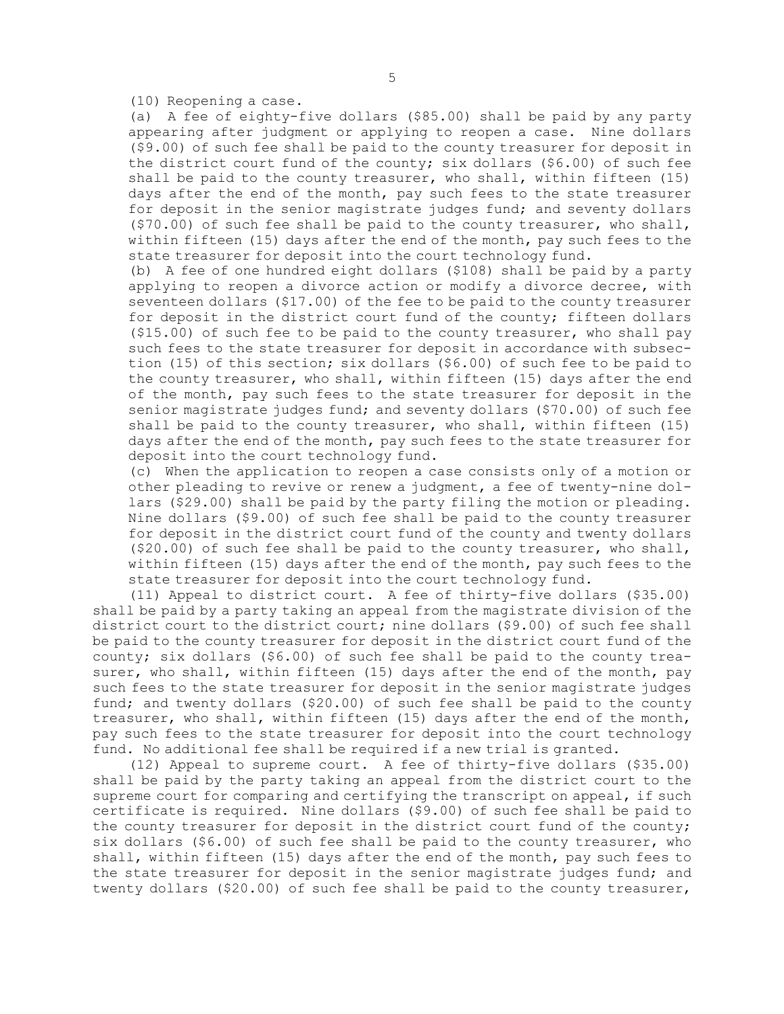(10) Reopening <sup>a</sup> case.

(a) <sup>A</sup> fee of eighty-five dollars (\$85.00) shall be paid by any party appearing after judgment or applying to reopen <sup>a</sup> case. Nine dollars (\$9.00) of such fee shall be paid to the county treasurer for deposit in the district court fund of the county; six dollars  $($ \$6.00) of such fee shall be paid to the county treasurer, who shall, within fifteen (15) days after the end of the month, pay such fees to the state treasurer for deposit in the senior magistrate judges fund; and seventy dollars (\$70.00) of such fee shall be paid to the county treasurer, who shall, within fifteen (15) days after the end of the month, pay such fees to the state treasurer for deposit into the court technology fund.

(b) <sup>A</sup> fee of one hundred eight dollars (\$108) shall be paid by <sup>a</sup> party applying to reopen <sup>a</sup> divorce action or modify <sup>a</sup> divorce decree, with seventeen dollars (\$17.00) of the fee to be paid to the county treasurer for deposit in the district court fund of the county; fifteen dollars (\$15.00) of such fee to be paid to the county treasurer, who shall pay such fees to the state treasurer for deposit in accordance with subsection (15) of this section; six dollars (\$6.00) of such fee to be paid to the county treasurer, who shall, within fifteen (15) days after the end of the month, pay such fees to the state treasurer for deposit in the senior magistrate judges fund; and seventy dollars (\$70.00) of such fee shall be paid to the county treasurer, who shall, within fifteen (15) days after the end of the month, pay such fees to the state treasurer for deposit into the court technology fund.

(c) When the application to reopen <sup>a</sup> case consists only of <sup>a</sup> motion or other pleading to revive or renew <sup>a</sup> judgment, <sup>a</sup> fee of twenty-nine dollars (\$29.00) shall be paid by the party filing the motion or pleading. Nine dollars (\$9.00) of such fee shall be paid to the county treasurer for deposit in the district court fund of the county and twenty dollars (\$20.00) of such fee shall be paid to the county treasurer, who shall, within fifteen (15) days after the end of the month, pay such fees to the state treasurer for deposit into the court technology fund.

(11) Appeal to district court. <sup>A</sup> fee of thirty-five dollars (\$35.00) shall be paid by <sup>a</sup> party taking an appeal from the magistrate division of the district court to the district court; nine dollars (\$9.00) of such fee shall be paid to the county treasurer for deposit in the district court fund of the county; six dollars (\$6.00) of such fee shall be paid to the county treasurer, who shall, within fifteen (15) days after the end of the month, pay such fees to the state treasurer for deposit in the senior magistrate judges fund; and twenty dollars (\$20.00) of such fee shall be paid to the county treasurer, who shall, within fifteen (15) days after the end of the month, pay such fees to the state treasurer for deposit into the court technology fund. No additional fee shall be required if <sup>a</sup> new trial is granted.

(12) Appeal to supreme court. <sup>A</sup> fee of thirty-five dollars (\$35.00) shall be paid by the party taking an appeal from the district court to the supreme court for comparing and certifying the transcript on appeal, if such certificate is required. Nine dollars (\$9.00) of such fee shall be paid to the county treasurer for deposit in the district court fund of the county; six dollars (\$6.00) of such fee shall be paid to the county treasurer, who shall, within fifteen (15) days after the end of the month, pay such fees to the state treasurer for deposit in the senior magistrate judges fund; and twenty dollars (\$20.00) of such fee shall be paid to the county treasurer,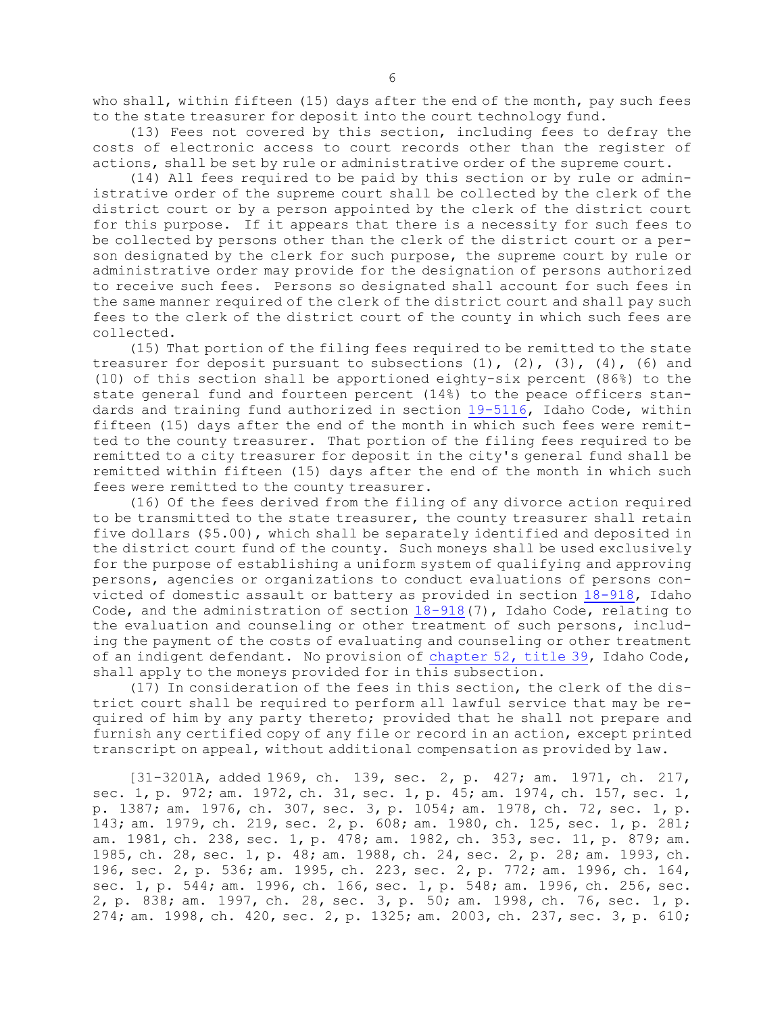who shall, within fifteen (15) days after the end of the month, pay such fees to the state treasurer for deposit into the court technology fund.

(13) Fees not covered by this section, including fees to defray the costs of electronic access to court records other than the register of actions, shall be set by rule or administrative order of the supreme court.

(14) All fees required to be paid by this section or by rule or administrative order of the supreme court shall be collected by the clerk of the district court or by <sup>a</sup> person appointed by the clerk of the district court for this purpose. If it appears that there is <sup>a</sup> necessity for such fees to be collected by persons other than the clerk of the district court or <sup>a</sup> person designated by the clerk for such purpose, the supreme court by rule or administrative order may provide for the designation of persons authorized to receive such fees. Persons so designated shall account for such fees in the same manner required of the clerk of the district court and shall pay such fees to the clerk of the district court of the county in which such fees are collected.

(15) That portion of the filing fees required to be remitted to the state treasurer for deposit pursuant to subsections  $(1)$ ,  $(2)$ ,  $(3)$ ,  $(4)$ ,  $(6)$  and (10) of this section shall be apportioned eighty-six percent (86%) to the state general fund and fourteen percent (14%) to the peace officers standards and training fund authorized in section [19-5116](https://legislature.idaho.gov/statutesrules/idstat/Title19/T19CH51/SECT19-5116), Idaho Code, within fifteen (15) days after the end of the month in which such fees were remitted to the county treasurer. That portion of the filing fees required to be remitted to <sup>a</sup> city treasurer for deposit in the city's general fund shall be remitted within fifteen (15) days after the end of the month in which such fees were remitted to the county treasurer.

(16) Of the fees derived from the filing of any divorce action required to be transmitted to the state treasurer, the county treasurer shall retain five dollars (\$5.00), which shall be separately identified and deposited in the district court fund of the county. Such moneys shall be used exclusively for the purpose of establishing <sup>a</sup> uniform system of qualifying and approving persons, agencies or organizations to conduct evaluations of persons convicted of domestic assault or battery as provided in section [18-918](https://legislature.idaho.gov/statutesrules/idstat/Title18/T18CH9/SECT18-918), Idaho Code, and the administration of section [18-918](https://legislature.idaho.gov/statutesrules/idstat/Title18/T18CH9/SECT18-918)(7), Idaho Code, relating to the evaluation and counseling or other treatment of such persons, including the payment of the costs of evaluating and counseling or other treatment of an indigent defendant. No provision of [chapter](https://legislature.idaho.gov/statutesrules/idstat/Title39/T39CH52) 52, title 39, Idaho Code, shall apply to the moneys provided for in this subsection.

(17) In consideration of the fees in this section, the clerk of the district court shall be required to perform all lawful service that may be required of him by any party thereto; provided that he shall not prepare and furnish any certified copy of any file or record in an action, except printed transcript on appeal, without additional compensation as provided by law.

[31-3201A, added 1969, ch. 139, sec. 2, p. 427; am. 1971, ch. 217, sec. 1, p. 972; am. 1972, ch. 31, sec. 1, p. 45; am. 1974, ch. 157, sec. 1, p. 1387; am. 1976, ch. 307, sec. 3, p. 1054; am. 1978, ch. 72, sec. 1, p. 143; am. 1979, ch. 219, sec. 2, p. 608; am. 1980, ch. 125, sec. 1, p. 281; am. 1981, ch. 238, sec. 1, p. 478; am. 1982, ch. 353, sec. 11, p. 879; am. 1985, ch. 28, sec. 1, p. 48; am. 1988, ch. 24, sec. 2, p. 28; am. 1993, ch. 196, sec. 2, p. 536; am. 1995, ch. 223, sec. 2, p. 772; am. 1996, ch. 164, sec. 1, p. 544; am. 1996, ch. 166, sec. 1, p. 548; am. 1996, ch. 256, sec. 2, p. 838; am. 1997, ch. 28, sec. 3, p. 50; am. 1998, ch. 76, sec. 1, p. 274; am. 1998, ch. 420, sec. 2, p. 1325; am. 2003, ch. 237, sec. 3, p. 610;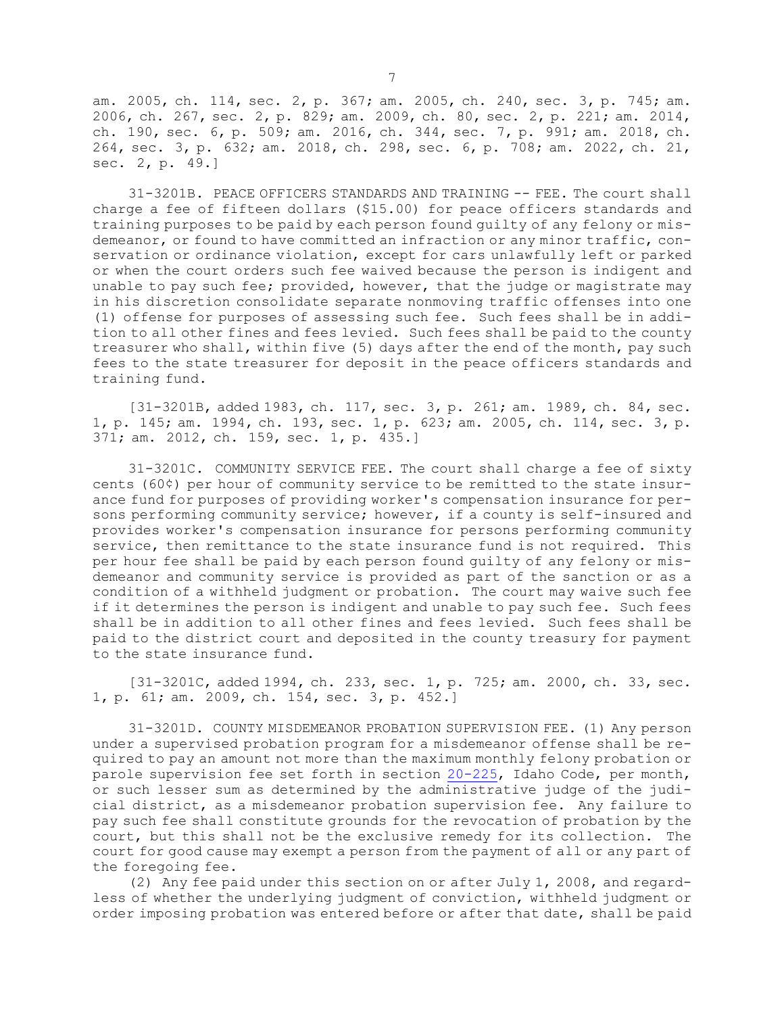am. 2005, ch. 114, sec. 2, p. 367; am. 2005, ch. 240, sec. 3, p. 745; am. 2006, ch. 267, sec. 2, p. 829; am. 2009, ch. 80, sec. 2, p. 221; am. 2014, ch. 190, sec. 6, p. 509; am. 2016, ch. 344, sec. 7, p. 991; am. 2018, ch. 264, sec. 3, p. 632; am. 2018, ch. 298, sec. 6, p. 708; am. 2022, ch. 21, sec. 2, p. 49.]

31-3201B. PEACE OFFICERS STANDARDS AND TRAINING -- FEE. The court shall charge <sup>a</sup> fee of fifteen dollars (\$15.00) for peace officers standards and training purposes to be paid by each person found guilty of any felony or misdemeanor, or found to have committed an infraction or any minor traffic, conservation or ordinance violation, except for cars unlawfully left or parked or when the court orders such fee waived because the person is indigent and unable to pay such fee; provided, however, that the judge or magistrate may in his discretion consolidate separate nonmoving traffic offenses into one (1) offense for purposes of assessing such fee. Such fees shall be in addition to all other fines and fees levied. Such fees shall be paid to the county treasurer who shall, within five (5) days after the end of the month, pay such fees to the state treasurer for deposit in the peace officers standards and training fund.

[31-3201B, added 1983, ch. 117, sec. 3, p. 261; am. 1989, ch. 84, sec. 1, p. 145; am. 1994, ch. 193, sec. 1, p. 623; am. 2005, ch. 114, sec. 3, p. 371; am. 2012, ch. 159, sec. 1, p. 435.]

31-3201C. COMMUNITY SERVICE FEE. The court shall charge <sup>a</sup> fee of sixty cents (60¢) per hour of community service to be remitted to the state insurance fund for purposes of providing worker's compensation insurance for persons performing community service; however, if <sup>a</sup> county is self-insured and provides worker's compensation insurance for persons performing community service, then remittance to the state insurance fund is not required. This per hour fee shall be paid by each person found guilty of any felony or misdemeanor and community service is provided as part of the sanction or as <sup>a</sup> condition of <sup>a</sup> withheld judgment or probation. The court may waive such fee if it determines the person is indigent and unable to pay such fee. Such fees shall be in addition to all other fines and fees levied. Such fees shall be paid to the district court and deposited in the county treasury for payment to the state insurance fund.

[31-3201C, added 1994, ch. 233, sec. 1, p. 725; am. 2000, ch. 33, sec. 1, p. 61; am. 2009, ch. 154, sec. 3, p. 452.]

31-3201D. COUNTY MISDEMEANOR PROBATION SUPERVISION FEE. (1) Any person under <sup>a</sup> supervised probation program for <sup>a</sup> misdemeanor offense shall be required to pay an amount not more than the maximum monthly felony probation or parole supervision fee set forth in section [20-225](https://legislature.idaho.gov/statutesrules/idstat/Title20/T20CH2/SECT20-225), Idaho Code, per month, or such lesser sum as determined by the administrative judge of the judicial district, as <sup>a</sup> misdemeanor probation supervision fee. Any failure to pay such fee shall constitute grounds for the revocation of probation by the court, but this shall not be the exclusive remedy for its collection. The court for good cause may exempt <sup>a</sup> person from the payment of all or any part of the foregoing fee.

(2) Any fee paid under this section on or after July 1, 2008, and regardless of whether the underlying judgment of conviction, withheld judgment or order imposing probation was entered before or after that date, shall be paid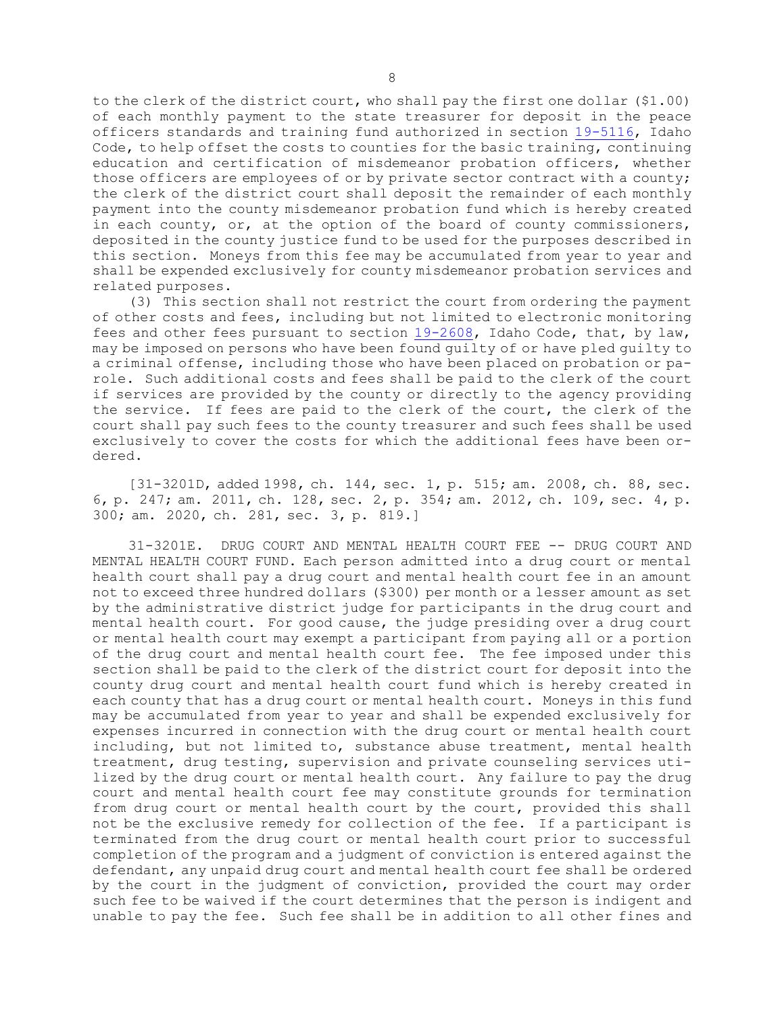to the clerk of the district court, who shall pay the first one dollar (\$1.00) of each monthly payment to the state treasurer for deposit in the peace officers standards and training fund authorized in section [19-5116](https://legislature.idaho.gov/statutesrules/idstat/Title19/T19CH51/SECT19-5116), Idaho Code, to help offset the costs to counties for the basic training, continuing education and certification of misdemeanor probation officers, whether those officers are employees of or by private sector contract with <sup>a</sup> county; the clerk of the district court shall deposit the remainder of each monthly payment into the county misdemeanor probation fund which is hereby created in each county, or, at the option of the board of county commissioners, deposited in the county justice fund to be used for the purposes described in this section. Moneys from this fee may be accumulated from year to year and shall be expended exclusively for county misdemeanor probation services and related purposes.

(3) This section shall not restrict the court from ordering the payment of other costs and fees, including but not limited to electronic monitoring fees and other fees pursuant to section [19-2608](https://legislature.idaho.gov/statutesrules/idstat/Title19/T19CH26/SECT19-2608), Idaho Code, that, by law, may be imposed on persons who have been found guilty of or have pled guilty to <sup>a</sup> criminal offense, including those who have been placed on probation or parole. Such additional costs and fees shall be paid to the clerk of the court if services are provided by the county or directly to the agency providing the service. If fees are paid to the clerk of the court, the clerk of the court shall pay such fees to the county treasurer and such fees shall be used exclusively to cover the costs for which the additional fees have been ordered.

[31-3201D, added 1998, ch. 144, sec. 1, p. 515; am. 2008, ch. 88, sec. 6, p. 247; am. 2011, ch. 128, sec. 2, p. 354; am. 2012, ch. 109, sec. 4, p. 300; am. 2020, ch. 281, sec. 3, p. 819.]

31-3201E. DRUG COURT AND MENTAL HEALTH COURT FEE -- DRUG COURT AND MENTAL HEALTH COURT FUND. Each person admitted into <sup>a</sup> drug court or mental health court shall pay <sup>a</sup> drug court and mental health court fee in an amount not to exceed three hundred dollars (\$300) per month or <sup>a</sup> lesser amount as set by the administrative district judge for participants in the drug court and mental health court. For good cause, the judge presiding over <sup>a</sup> drug court or mental health court may exempt <sup>a</sup> participant from paying all or <sup>a</sup> portion of the drug court and mental health court fee. The fee imposed under this section shall be paid to the clerk of the district court for deposit into the county drug court and mental health court fund which is hereby created in each county that has <sup>a</sup> drug court or mental health court. Moneys in this fund may be accumulated from year to year and shall be expended exclusively for expenses incurred in connection with the drug court or mental health court including, but not limited to, substance abuse treatment, mental health treatment, drug testing, supervision and private counseling services utilized by the drug court or mental health court. Any failure to pay the drug court and mental health court fee may constitute grounds for termination from drug court or mental health court by the court, provided this shall not be the exclusive remedy for collection of the fee. If <sup>a</sup> participant is terminated from the drug court or mental health court prior to successful completion of the program and <sup>a</sup> judgment of conviction is entered against the defendant, any unpaid drug court and mental health court fee shall be ordered by the court in the judgment of conviction, provided the court may order such fee to be waived if the court determines that the person is indigent and unable to pay the fee. Such fee shall be in addition to all other fines and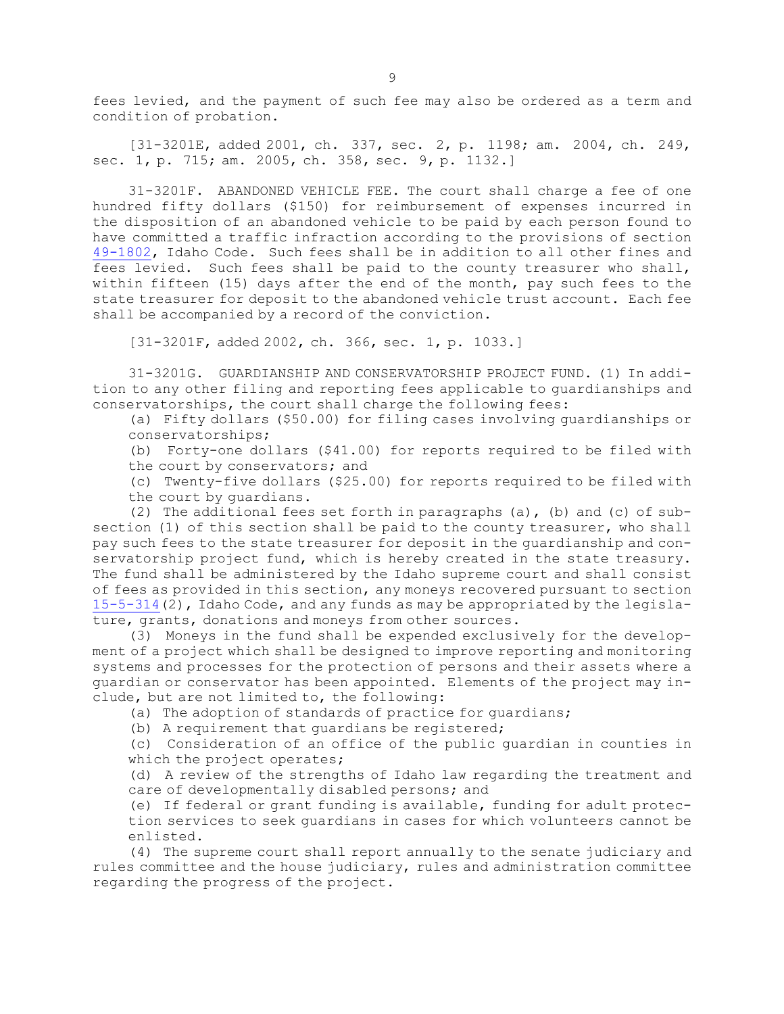fees levied, and the payment of such fee may also be ordered as <sup>a</sup> term and condition of probation.

[31-3201E, added 2001, ch. 337, sec. 2, p. 1198; am. 2004, ch. 249, sec. 1, p. 715; am. 2005, ch. 358, sec. 9, p. 1132.]

31-3201F. ABANDONED VEHICLE FEE. The court shall charge <sup>a</sup> fee of one hundred fifty dollars (\$150) for reimbursement of expenses incurred in the disposition of an abandoned vehicle to be paid by each person found to have committed <sup>a</sup> traffic infraction according to the provisions of section [49-1802](https://legislature.idaho.gov/statutesrules/idstat/Title49/T49CH18/SECT49-1802), Idaho Code. Such fees shall be in addition to all other fines and fees levied. Such fees shall be paid to the county treasurer who shall, within fifteen (15) days after the end of the month, pay such fees to the state treasurer for deposit to the abandoned vehicle trust account. Each fee shall be accompanied by <sup>a</sup> record of the conviction.

[31-3201F, added 2002, ch. 366, sec. 1, p. 1033.]

31-3201G. GUARDIANSHIP AND CONSERVATORSHIP PROJECT FUND. (1) In addition to any other filing and reporting fees applicable to guardianships and conservatorships, the court shall charge the following fees:

(a) Fifty dollars (\$50.00) for filing cases involving guardianships or conservatorships;

(b) Forty-one dollars (\$41.00) for reports required to be filed with the court by conservators; and

(c) Twenty-five dollars (\$25.00) for reports required to be filed with the court by guardians.

(2) The additional fees set forth in paragraphs (a), (b) and (c) of  $sub$ section (1) of this section shall be paid to the county treasurer, who shall pay such fees to the state treasurer for deposit in the guardianship and conservatorship project fund, which is hereby created in the state treasury. The fund shall be administered by the Idaho supreme court and shall consist of fees as provided in this section, any moneys recovered pursuant to section [15-5-314](https://legislature.idaho.gov/statutesrules/idstat/Title15/T15CH5/SECT15-5-314)(2), Idaho Code, and any funds as may be appropriated by the legislature, grants, donations and moneys from other sources.

(3) Moneys in the fund shall be expended exclusively for the development of <sup>a</sup> project which shall be designed to improve reporting and monitoring systems and processes for the protection of persons and their assets where <sup>a</sup> guardian or conservator has been appointed. Elements of the project may include, but are not limited to, the following:

(a) The adoption of standards of practice for guardians;

(b) <sup>A</sup> requirement that guardians be registered;

(c) Consideration of an office of the public guardian in counties in which the project operates;

(d) <sup>A</sup> review of the strengths of Idaho law regarding the treatment and care of developmentally disabled persons; and

(e) If federal or grant funding is available, funding for adult protection services to seek guardians in cases for which volunteers cannot be enlisted.

(4) The supreme court shall report annually to the senate judiciary and rules committee and the house judiciary, rules and administration committee regarding the progress of the project.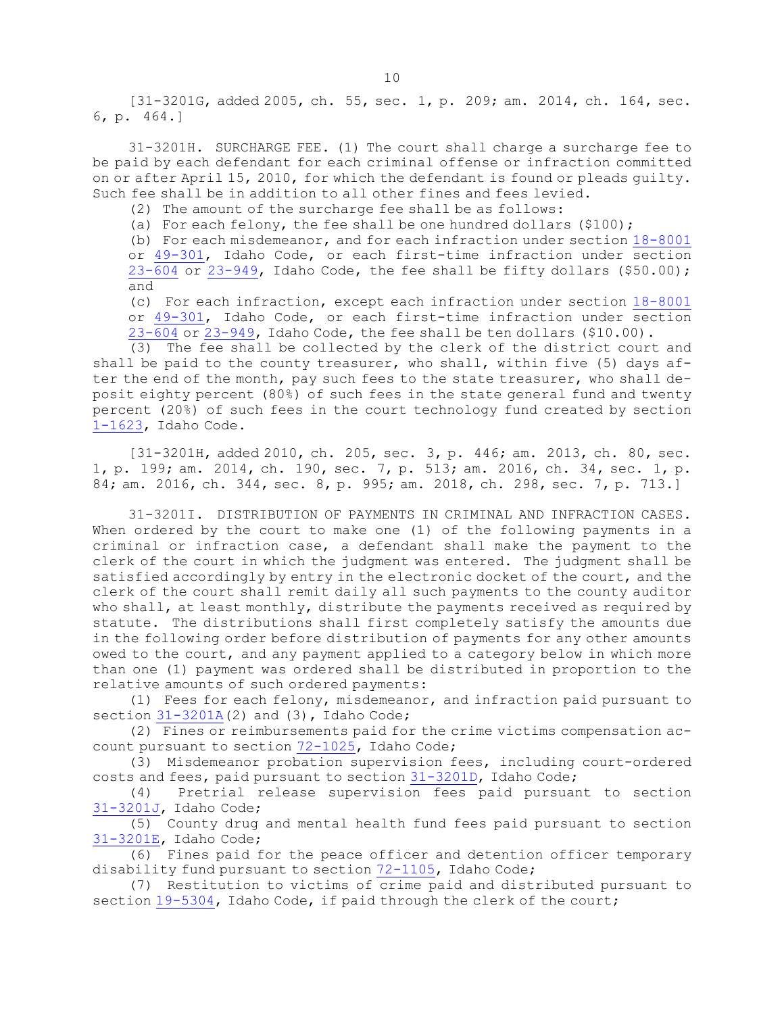[31-3201G, added 2005, ch. 55, sec. 1, p. 209; am. 2014, ch. 164, sec. 6, p. 464.]

31-3201H. SURCHARGE FEE. (1) The court shall charge <sup>a</sup> surcharge fee to be paid by each defendant for each criminal offense or infraction committed on or after April 15, 2010, for which the defendant is found or pleads guilty. Such fee shall be in addition to all other fines and fees levied.

(2) The amount of the surcharge fee shall be as follows:

(a) For each felony, the fee shall be one hundred dollars (\$100);

(b) For each misdemeanor, and for each infraction under section [18-8001](https://legislature.idaho.gov/statutesrules/idstat/Title18/T18CH80/SECT18-8001) or [49-301](https://legislature.idaho.gov/statutesrules/idstat/Title49/T49CH3/SECT49-301), Idaho Code, or each first-time infraction under section  $23-604$  or  $23-949$ , Idaho Code, the fee shall be fifty dollars (\$50.00); and

(c) For each infraction, except each infraction under section [18-8001](https://legislature.idaho.gov/statutesrules/idstat/Title18/T18CH80/SECT18-8001) or [49-301](https://legislature.idaho.gov/statutesrules/idstat/Title49/T49CH3/SECT49-301), Idaho Code, or each first-time infraction under section [23-604](https://legislature.idaho.gov/statutesrules/idstat/Title23/T23CH6/SECT23-604) or [23-949](https://legislature.idaho.gov/statutesrules/idstat/Title23/T23CH9/SECT23-949), Idaho Code, the fee shall be ten dollars (\$10.00).

(3) The fee shall be collected by the clerk of the district court and shall be paid to the county treasurer, who shall, within five (5) days after the end of the month, pay such fees to the state treasurer, who shall deposit eighty percent (80%) of such fees in the state general fund and twenty percent (20%) of such fees in the court technology fund created by section [1-1623](https://legislature.idaho.gov/statutesrules/idstat/Title1/T1CH16/SECT1-1623), Idaho Code.

[31-3201H, added 2010, ch. 205, sec. 3, p. 446; am. 2013, ch. 80, sec. 1, p. 199; am. 2014, ch. 190, sec. 7, p. 513; am. 2016, ch. 34, sec. 1, p. 84; am. 2016, ch. 344, sec. 8, p. 995; am. 2018, ch. 298, sec. 7, p. 713.]

31-3201I. DISTRIBUTION OF PAYMENTS IN CRIMINAL AND INFRACTION CASES. When ordered by the court to make one (1) of the following payments in <sup>a</sup> criminal or infraction case, <sup>a</sup> defendant shall make the payment to the clerk of the court in which the judgment was entered. The judgment shall be satisfied accordingly by entry in the electronic docket of the court, and the clerk of the court shall remit daily all such payments to the county auditor who shall, at least monthly, distribute the payments received as required by statute. The distributions shall first completely satisfy the amounts due in the following order before distribution of payments for any other amounts owed to the court, and any payment applied to <sup>a</sup> category below in which more than one (1) payment was ordered shall be distributed in proportion to the relative amounts of such ordered payments:

(1) Fees for each felony, misdemeanor, and infraction paid pursuant to section  $31-3201A(2)$  $31-3201A(2)$  and  $(3)$ , Idaho Code;

(2) Fines or reimbursements paid for the crime victims compensation account pursuant to section [72-1025](https://legislature.idaho.gov/statutesrules/idstat/Title72/T72CH10/SECT72-1025), Idaho Code;

(3) Misdemeanor probation supervision fees, including court-ordered costs and fees, paid pursuant to section [31-3201D](https://legislature.idaho.gov/statutesrules/idstat/Title31/T31CH32/SECT31-3201D), Idaho Code;

(4) Pretrial release supervision fees paid pursuant to section [31-3201J](https://legislature.idaho.gov/statutesrules/idstat/Title31/T31CH32/SECT31-3201J), Idaho Code;

(5) County drug and mental health fund fees paid pursuant to section [31-3201E](https://legislature.idaho.gov/statutesrules/idstat/Title31/T31CH32/SECT31-3201E), Idaho Code;

(6) Fines paid for the peace officer and detention officer temporary disability fund pursuant to section [72-1105](https://legislature.idaho.gov/statutesrules/idstat/Title72/T72CH11/SECT72-1105), Idaho Code;

(7) Restitution to victims of crime paid and distributed pursuant to section [19-5304](https://legislature.idaho.gov/statutesrules/idstat/Title19/T19CH53/SECT19-5304), Idaho Code, if paid through the clerk of the court;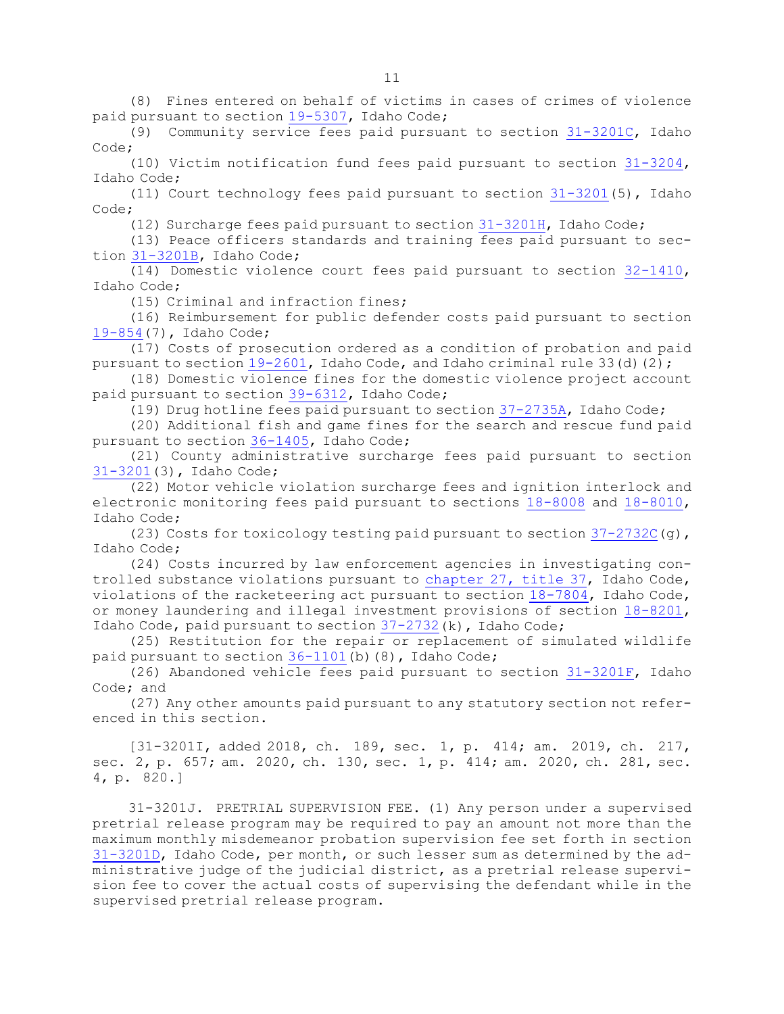(8) Fines entered on behalf of victims in cases of crimes of violence paid pursuant to section [19-5307](https://legislature.idaho.gov/statutesrules/idstat/Title19/T19CH53/SECT19-5307), Idaho Code;

(9) Community service fees paid pursuant to section [31-3201C](https://legislature.idaho.gov/statutesrules/idstat/Title31/T31CH32/SECT31-3201C), Idaho Code;

(10) Victim notification fund fees paid pursuant to section [31-3204](https://legislature.idaho.gov/statutesrules/idstat/Title31/T31CH32/SECT31-3204), Idaho Code;

(11) Court technology fees paid pursuant to section [31-3201](https://legislature.idaho.gov/statutesrules/idstat/Title31/T31CH32/SECT31-3201)(5), Idaho Code;

(12) Surcharge fees paid pursuant to section [31-3201H](https://legislature.idaho.gov/statutesrules/idstat/Title31/T31CH32/SECT31-3201H), Idaho Code;

(13) Peace officers standards and training fees paid pursuant to section [31-3201B](https://legislature.idaho.gov/statutesrules/idstat/Title31/T31CH32/SECT31-3201B), Idaho Code;

(14) Domestic violence court fees paid pursuant to section [32-1410](https://legislature.idaho.gov/statutesrules/idstat/Title32/T32CH14/SECT32-1410), Idaho Code;

(15) Criminal and infraction fines;

(16) Reimbursement for public defender costs paid pursuant to section [19-854](https://legislature.idaho.gov/statutesrules/idstat/Title19/T19CH8/SECT19-854)(7), Idaho Code;

(17) Costs of prosecution ordered as <sup>a</sup> condition of probation and paid pursuant to section  $19-2601$ , Idaho Code, and Idaho criminal rule 33(d)(2);

(18) Domestic violence fines for the domestic violence project account paid pursuant to section [39-6312](https://legislature.idaho.gov/statutesrules/idstat/Title39/T39CH63/SECT39-6312), Idaho Code;

(19) Drug hotline fees paid pursuant to section [37-2735A](https://legislature.idaho.gov/statutesrules/idstat/Title37/T37CH27/SECT37-2735A), Idaho Code;

(20) Additional fish and game fines for the search and rescue fund paid pursuant to section [36-1405](https://legislature.idaho.gov/statutesrules/idstat/Title36/T36CH14/SECT36-1405), Idaho Code;

(21) County administrative surcharge fees paid pursuant to section [31-3201](https://legislature.idaho.gov/statutesrules/idstat/Title31/T31CH32/SECT31-3201)(3), Idaho Code;

(22) Motor vehicle violation surcharge fees and ignition interlock and electronic monitoring fees paid pursuant to sections [18-8008](https://legislature.idaho.gov/statutesrules/idstat/Title18/T18CH80/SECT18-8008) and [18-8010](https://legislature.idaho.gov/statutesrules/idstat/Title18/T18CH80/SECT18-8010), Idaho Code;

(23) Costs for toxicology testing paid pursuant to section  $37-2732C(g)$  $37-2732C(g)$ , Idaho Code;

(24) Costs incurred by law enforcement agencies in investigating controlled substance violations pursuant to [chapter](https://legislature.idaho.gov/statutesrules/idstat/Title37/T37CH27) 27, title 37, Idaho Code, violations of the racketeering act pursuant to section [18-7804](https://legislature.idaho.gov/statutesrules/idstat/Title18/T18CH78/SECT18-7804), Idaho Code, or money laundering and illegal investment provisions of section [18-8201](https://legislature.idaho.gov/statutesrules/idstat/Title18/T18CH82/SECT18-8201), Idaho Code, paid pursuant to section [37-2732](https://legislature.idaho.gov/statutesrules/idstat/Title37/T37CH27/SECT37-2732)(k), Idaho Code;

(25) Restitution for the repair or replacement of simulated wildlife paid pursuant to section [36-1101](https://legislature.idaho.gov/statutesrules/idstat/Title36/T36CH11/SECT36-1101)(b)(8), Idaho Code;

(26) Abandoned vehicle fees paid pursuant to section [31-3201F](https://legislature.idaho.gov/statutesrules/idstat/Title31/T31CH32/SECT31-3201F), Idaho Code; and

(27) Any other amounts paid pursuant to any statutory section not referenced in this section.

[31-3201I, added 2018, ch. 189, sec. 1, p. 414; am. 2019, ch. 217, sec. 2, p. 657; am. 2020, ch. 130, sec. 1, p. 414; am. 2020, ch. 281, sec. 4, p. 820.]

31-3201J. PRETRIAL SUPERVISION FEE. (1) Any person under <sup>a</sup> supervised pretrial release program may be required to pay an amount not more than the maximum monthly misdemeanor probation supervision fee set forth in section [31-3201D](https://legislature.idaho.gov/statutesrules/idstat/Title31/T31CH32/SECT31-3201D), Idaho Code, per month, or such lesser sum as determined by the administrative judge of the judicial district, as <sup>a</sup> pretrial release supervision fee to cover the actual costs of supervising the defendant while in the supervised pretrial release program.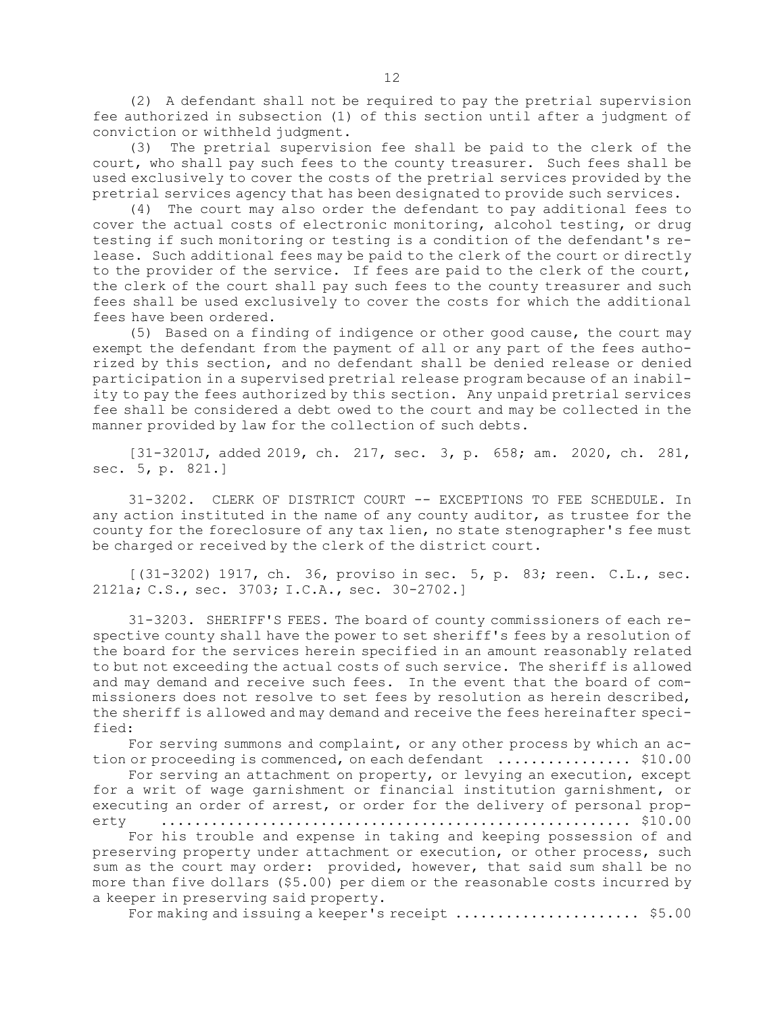(2) <sup>A</sup> defendant shall not be required to pay the pretrial supervision fee authorized in subsection (1) of this section until after <sup>a</sup> judgment of conviction or withheld judgment.

(3) The pretrial supervision fee shall be paid to the clerk of the court, who shall pay such fees to the county treasurer. Such fees shall be used exclusively to cover the costs of the pretrial services provided by the pretrial services agency that has been designated to provide such services.

(4) The court may also order the defendant to pay additional fees to cover the actual costs of electronic monitoring, alcohol testing, or drug testing if such monitoring or testing is <sup>a</sup> condition of the defendant's release. Such additional fees may be paid to the clerk of the court or directly to the provider of the service. If fees are paid to the clerk of the court, the clerk of the court shall pay such fees to the county treasurer and such fees shall be used exclusively to cover the costs for which the additional fees have been ordered.

(5) Based on <sup>a</sup> finding of indigence or other good cause, the court may exempt the defendant from the payment of all or any part of the fees authorized by this section, and no defendant shall be denied release or denied participation in <sup>a</sup> supervised pretrial release program because of an inability to pay the fees authorized by this section. Any unpaid pretrial services fee shall be considered <sup>a</sup> debt owed to the court and may be collected in the manner provided by law for the collection of such debts.

[31-3201J, added 2019, ch. 217, sec. 3, p. 658; am. 2020, ch. 281, sec. 5, p. 821.]

31-3202. CLERK OF DISTRICT COURT -- EXCEPTIONS TO FEE SCHEDULE. In any action instituted in the name of any county auditor, as trustee for the county for the foreclosure of any tax lien, no state stenographer's fee must be charged or received by the clerk of the district court.

[(31-3202) 1917, ch. 36, proviso in sec. 5, p. 83; reen. C.L., sec. 2121a; C.S., sec. 3703; I.C.A., sec. 30-2702.]

31-3203. SHERIFF'S FEES. The board of county commissioners of each respective county shall have the power to set sheriff's fees by <sup>a</sup> resolution of the board for the services herein specified in an amount reasonably related to but not exceeding the actual costs of such service. The sheriff is allowed and may demand and receive such fees. In the event that the board of commissioners does not resolve to set fees by resolution as herein described, the sheriff is allowed and may demand and receive the fees hereinafter specified:

For serving summons and complaint, or any other process by which an action or proceeding is commenced, on each defendant .................... \$10.00

For serving an attachment on property, or levying an execution, except for <sup>a</sup> writ of wage garnishment or financial institution garnishment, or executing an order of arrest, or order for the delivery of personal property ........................................................ \$10.00

For his trouble and expense in taking and keeping possession of and preserving property under attachment or execution, or other process, such sum as the court may order: provided, however, that said sum shall be no more than five dollars (\$5.00) per diem or the reasonable costs incurred by <sup>a</sup> keeper in preserving said property.

For making and issuing <sup>a</sup> keeper's receipt ...................... \$5.00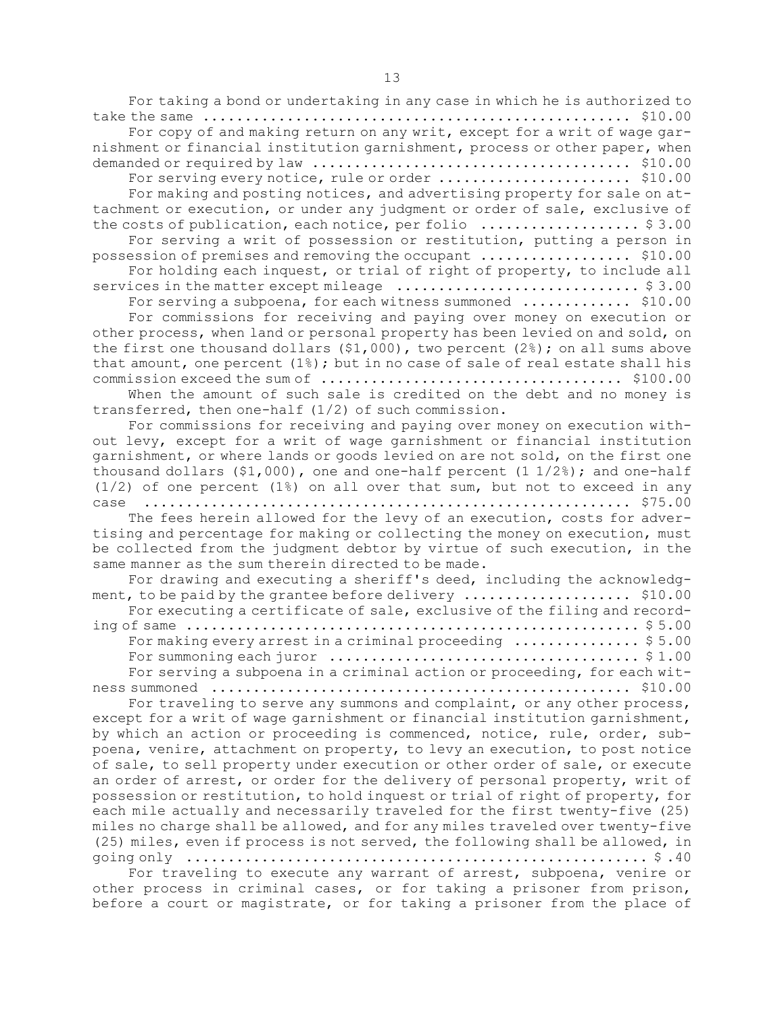For taking <sup>a</sup> bond or undertaking in any case in which he is authorized to take the same ................................................... \$10.00

For copy of and making return on any writ, except for <sup>a</sup> writ of wage garnishment or financial institution garnishment, process or other paper, when demanded or required by law ...................................... \$10.00

For serving every notice, rule or order ............................... \$10.00

For making and posting notices, and advertising property for sale on attachment or execution, or under any judgment or order of sale, exclusive of the costs of publication, each notice, per folio ...................... \$3.00

For serving <sup>a</sup> writ of possession or restitution, putting <sup>a</sup> person in possession of premises and removing the occupant .................. \$10.00

For holding each inquest, or trial of right of property, to include all services in the matter except mileage ............................. \$ 3.00

For serving a subpoena, for each witness summoned ............... \$10.00

For commissions for receiving and paying over money on execution or other process, when land or personal property has been levied on and sold, on the first one thousand dollars  $(91,000)$ , two percent  $(2%)$ ; on all sums above that amount, one percent (1%); but in no case of sale of real estate shall his commission exceed the sum of .................................... \$100.00

When the amount of such sale is credited on the debt and no money is transferred, then one-half (1/2) of such commission.

For commissions for receiving and paying over money on execution without levy, except for <sup>a</sup> writ of wage garnishment or financial institution garnishment, or where lands or goods levied on are not sold, on the first one thousand dollars  $(91,000)$ , one and one-half percent  $(1\ 1/2\%)$ ; and one-half  $(1/2)$  of one percent  $(1)$ ) on all over that sum, but not to exceed in any case .......................................................... \$75.00

The fees herein allowed for the levy of an execution, costs for advertising and percentage for making or collecting the money on execution, must be collected from the judgment debtor by virtue of such execution, in the same manner as the sum therein directed to be made.

| For drawing and executing a sheriff's deed, including the acknowledg-                       |
|---------------------------------------------------------------------------------------------|
|                                                                                             |
| For executing a certificate of sale, exclusive of the filing and record-                    |
|                                                                                             |
| For making every arrest in a criminal proceeding $\ldots \ldots \ldots \ldots$ \$5.00       |
| For summoning each juror $\dots\dots\dots\dots\dots\dots\dots\dots\dots\dots\dots$ . \$1.00 |
| For serving a subpoena in a criminal action or proceeding, for each wit-                    |
|                                                                                             |

For traveling to serve any summons and complaint, or any other process, except for <sup>a</sup> writ of wage garnishment or financial institution garnishment, by which an action or proceeding is commenced, notice, rule, order, subpoena, venire, attachment on property, to levy an execution, to post notice of sale, to sell property under execution or other order of sale, or execute an order of arrest, or order for the delivery of personal property, writ of possession or restitution, to hold inquest or trial of right of property, for each mile actually and necessarily traveled for the first twenty-five (25) miles no charge shall be allowed, and for any miles traveled over twenty-five (25) miles, even if process is not served, the following shall be allowed, in going only  $\dots\dots\dots\dots\dots\dots\dots\dots\dots\dots\dots\dots\dots\dots\dots\dots$ .

For traveling to execute any warrant of arrest, subpoena, venire or other process in criminal cases, or for taking <sup>a</sup> prisoner from prison, before <sup>a</sup> court or magistrate, or for taking <sup>a</sup> prisoner from the place of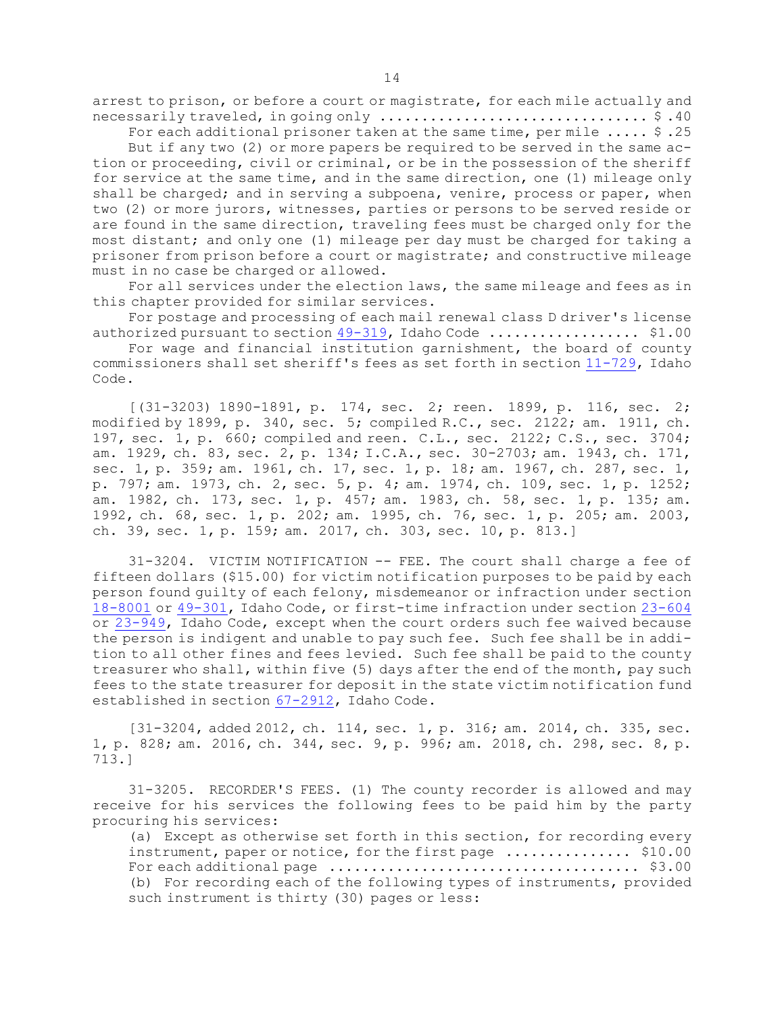arrest to prison, or before <sup>a</sup> court or magistrate, for each mile actually and necessarily traveled, in going only ................................ \$ .40

For each additional prisoner taken at the same time, per mile ..... \$ .25

But if any two (2) or more papers be required to be served in the same action or proceeding, civil or criminal, or be in the possession of the sheriff for service at the same time, and in the same direction, one (1) mileage only shall be charged; and in serving a subpoena, venire, process or paper, when two (2) or more jurors, witnesses, parties or persons to be served reside or are found in the same direction, traveling fees must be charged only for the most distant; and only one (1) mileage per day must be charged for taking <sup>a</sup> prisoner from prison before <sup>a</sup> court or magistrate; and constructive mileage must in no case be charged or allowed.

For all services under the election laws, the same mileage and fees as in this chapter provided for similar services.

For postage and processing of each mail renewal class <sup>D</sup> driver's license authorized pursuant to section [49-319](https://legislature.idaho.gov/statutesrules/idstat/Title49/T49CH3/SECT49-319), Idaho Code ........................... \$1.00

For wage and financial institution garnishment, the board of county commissioners shall set sheriff's fees as set forth in section [11-729](https://legislature.idaho.gov/statutesrules/idstat/Title11/T11CH7/SECT11-729), Idaho Code.

[(31-3203) 1890-1891, p. 174, sec. 2; reen. 1899, p. 116, sec. 2; modified by 1899, p. 340, sec. 5; compiled R.C., sec. 2122; am. 1911, ch. 197, sec. 1, p. 660; compiled and reen. C.L., sec. 2122; C.S., sec. 3704; am. 1929, ch. 83, sec. 2, p. 134; I.C.A., sec. 30-2703; am. 1943, ch. 171, sec. 1, p. 359; am. 1961, ch. 17, sec. 1, p. 18; am. 1967, ch. 287, sec. 1, p. 797; am. 1973, ch. 2, sec. 5, p. 4; am. 1974, ch. 109, sec. 1, p. 1252; am. 1982, ch. 173, sec. 1, p. 457; am. 1983, ch. 58, sec. 1, p. 135; am. 1992, ch. 68, sec. 1, p. 202; am. 1995, ch. 76, sec. 1, p. 205; am. 2003, ch. 39, sec. 1, p. 159; am. 2017, ch. 303, sec. 10, p. 813.]

31-3204. VICTIM NOTIFICATION -- FEE. The court shall charge <sup>a</sup> fee of fifteen dollars (\$15.00) for victim notification purposes to be paid by each person found guilty of each felony, misdemeanor or infraction under section [18-8001](https://legislature.idaho.gov/statutesrules/idstat/Title18/T18CH80/SECT18-8001) or [49-301](https://legislature.idaho.gov/statutesrules/idstat/Title49/T49CH3/SECT49-301), Idaho Code, or first-time infraction under section [23-604](https://legislature.idaho.gov/statutesrules/idstat/Title23/T23CH6/SECT23-604) or [23-949](https://legislature.idaho.gov/statutesrules/idstat/Title23/T23CH9/SECT23-949), Idaho Code, except when the court orders such fee waived because the person is indigent and unable to pay such fee. Such fee shall be in addition to all other fines and fees levied. Such fee shall be paid to the county treasurer who shall, within five (5) days after the end of the month, pay such fees to the state treasurer for deposit in the state victim notification fund established in section [67-2912](https://legislature.idaho.gov/statutesrules/idstat/Title67/T67CH29/SECT67-2912), Idaho Code.

[31-3204, added 2012, ch. 114, sec. 1, p. 316; am. 2014, ch. 335, sec. 1, p. 828; am. 2016, ch. 344, sec. 9, p. 996; am. 2018, ch. 298, sec. 8, p. 713.]

31-3205. RECORDER'S FEES. (1) The county recorder is allowed and may receive for his services the following fees to be paid him by the party procuring his services:

(a) Except as otherwise set forth in this section, for recording every instrument, paper or notice, for the first page ............... \$10.00 For each additional page ..................................... \$3.00 (b) For recording each of the following types of instruments, provided such instrument is thirty (30) pages or less: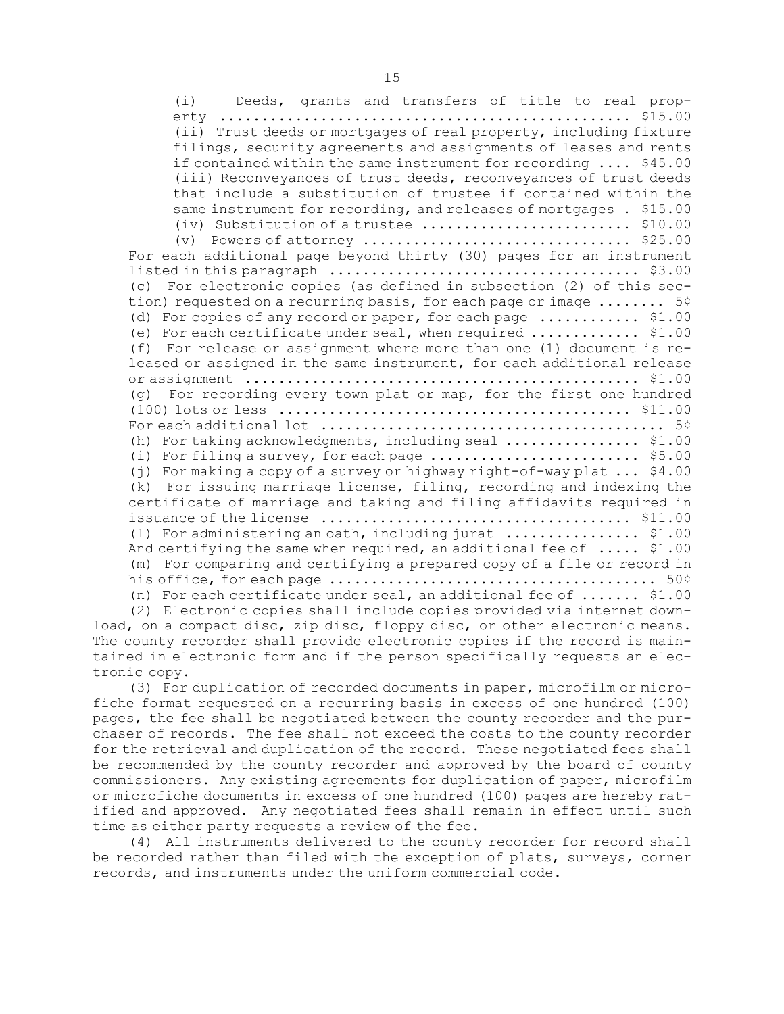(i) Deeds, grants and transfers of title to real property ................................................. \$15.00 (ii) Trust deeds or mortgages of real property, including fixture filings, security agreements and assignments of leases and rents if contained within the same instrument for recording .... \$45.00 (iii) Reconveyances of trust deeds, reconveyances of trust deeds that include <sup>a</sup> substitution of trustee if contained within the same instrument for recording, and releases of mortgages . \$15.00 (iv) Substitution of <sup>a</sup> trustee ......................... \$10.00 (v) Powers of attorney  $\dots\dots\dots\dots\dots\dots\dots\dots\dots\dots$ . \$25.00 For each additional page beyond thirty (30) pages for an instrument listed in this paragraph ..................................... \$3.00 (c) For electronic copies (as defined in subsection (2) of this section) requested on <sup>a</sup> recurring basis, for each page or image ........ 5¢ (d) For copies of any record or paper, for each page ............ \$1.00 (e) For each certificate under seal, when required ............. \$1.00 (f) For release or assignment where more than one (1) document is released or assigned in the same instrument, for each additional release or assignment ............................................... \$1.00 (g) For recording every town plat or map, for the first one hundred (100) lots or less .......................................... \$11.00 For each additional lot ......................................... 5¢ (h) For taking acknowledgments, including seal ................ \$1.00 (i) For filing a survey, for each page  $\dots\dots\dots\dots\dots\dots\dots\dots$ . \$5.00 (j) For making <sup>a</sup> copy of <sup>a</sup> survey or highway right-of-way plat ... \$4.00 (k) For issuing marriage license, filing, recording and indexing the certificate of marriage and taking and filing affidavits required in issuance of the license ..................................... \$11.00 (l) For administering an oath, including jurat ................ \$1.00 And certifying the same when required, an additional fee of ..... \$1.00 (m) For comparing and certifying <sup>a</sup> prepared copy of <sup>a</sup> file or record in his office, for each page ....................................... 50¢ (n) For each certificate under seal, an additional fee of ....... \$1.00

(2) Electronic copies shall include copies provided via internet download, on <sup>a</sup> compact disc, zip disc, floppy disc, or other electronic means. The county recorder shall provide electronic copies if the record is maintained in electronic form and if the person specifically requests an electronic copy.

(3) For duplication of recorded documents in paper, microfilm or microfiche format requested on <sup>a</sup> recurring basis in excess of one hundred (100) pages, the fee shall be negotiated between the county recorder and the purchaser of records. The fee shall not exceed the costs to the county recorder for the retrieval and duplication of the record. These negotiated fees shall be recommended by the county recorder and approved by the board of county commissioners. Any existing agreements for duplication of paper, microfilm or microfiche documents in excess of one hundred (100) pages are hereby ratified and approved. Any negotiated fees shall remain in effect until such time as either party requests <sup>a</sup> review of the fee.

(4) All instruments delivered to the county recorder for record shall be recorded rather than filed with the exception of plats, surveys, corner records, and instruments under the uniform commercial code.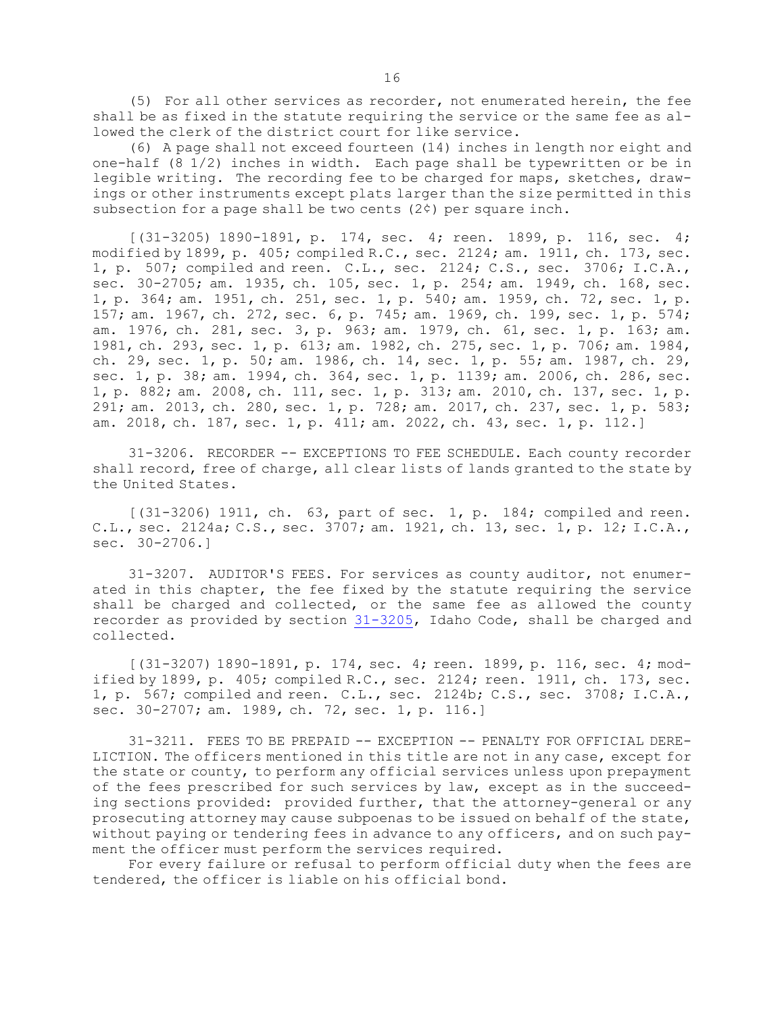(5) For all other services as recorder, not enumerated herein, the fee shall be as fixed in the statute requiring the service or the same fee as allowed the clerk of the district court for like service.

(6) <sup>A</sup> page shall not exceed fourteen (14) inches in length nor eight and one-half (8 1/2) inches in width. Each page shall be typewritten or be in legible writing. The recording fee to be charged for maps, sketches, drawings or other instruments except plats larger than the size permitted in this subsection for a page shall be two cents  $(2<sup>c</sup>)$  per square inch.

[(31-3205) 1890-1891, p. 174, sec. 4; reen. 1899, p. 116, sec. 4; modified by 1899, p. 405; compiled R.C., sec. 2124; am. 1911, ch. 173, sec. 1, p. 507; compiled and reen. C.L., sec. 2124; C.S., sec. 3706; I.C.A., sec. 30-2705; am. 1935, ch. 105, sec. 1, p. 254; am. 1949, ch. 168, sec. 1, p. 364; am. 1951, ch. 251, sec. 1, p. 540; am. 1959, ch. 72, sec. 1, p. 157; am. 1967, ch. 272, sec. 6, p. 745; am. 1969, ch. 199, sec. 1, p. 574; am. 1976, ch. 281, sec. 3, p. 963; am. 1979, ch. 61, sec. 1, p. 163; am. 1981, ch. 293, sec. 1, p. 613; am. 1982, ch. 275, sec. 1, p. 706; am. 1984, ch. 29, sec. 1, p. 50; am. 1986, ch. 14, sec. 1, p. 55; am. 1987, ch. 29, sec. 1, p. 38; am. 1994, ch. 364, sec. 1, p. 1139; am. 2006, ch. 286, sec. 1, p. 882; am. 2008, ch. 111, sec. 1, p. 313; am. 2010, ch. 137, sec. 1, p. 291; am. 2013, ch. 280, sec. 1, p. 728; am. 2017, ch. 237, sec. 1, p. 583; am. 2018, ch. 187, sec. 1, p. 411; am. 2022, ch. 43, sec. 1, p. 112.]

31-3206. RECORDER -- EXCEPTIONS TO FEE SCHEDULE. Each county recorder shall record, free of charge, all clear lists of lands granted to the state by the United States.

[(31-3206) 1911, ch. 63, part of sec. 1, p. 184; compiled and reen. C.L., sec. 2124a; C.S., sec. 3707; am. 1921, ch. 13, sec. 1, p. 12; I.C.A., sec. 30-2706.]

31-3207. AUDITOR'S FEES. For services as county auditor, not enumerated in this chapter, the fee fixed by the statute requiring the service shall be charged and collected, or the same fee as allowed the county recorder as provided by section [31-3205](https://legislature.idaho.gov/statutesrules/idstat/Title31/T31CH32/SECT31-3205), Idaho Code, shall be charged and collected.

[(31-3207) 1890-1891, p. 174, sec. 4; reen. 1899, p. 116, sec. 4; modified by 1899, p. 405; compiled R.C., sec. 2124; reen. 1911, ch. 173, sec. 1, p. 567; compiled and reen. C.L., sec. 2124b; C.S., sec. 3708; I.C.A., sec. 30-2707; am. 1989, ch. 72, sec. 1, p. 116.]

31-3211. FEES TO BE PREPAID -- EXCEPTION -- PENALTY FOR OFFICIAL DERE-LICTION. The officers mentioned in this title are not in any case, except for the state or county, to perform any official services unless upon prepayment of the fees prescribed for such services by law, except as in the succeeding sections provided: provided further, that the attorney-general or any prosecuting attorney may cause subpoenas to be issued on behalf of the state, without paying or tendering fees in advance to any officers, and on such payment the officer must perform the services required.

For every failure or refusal to perform official duty when the fees are tendered, the officer is liable on his official bond.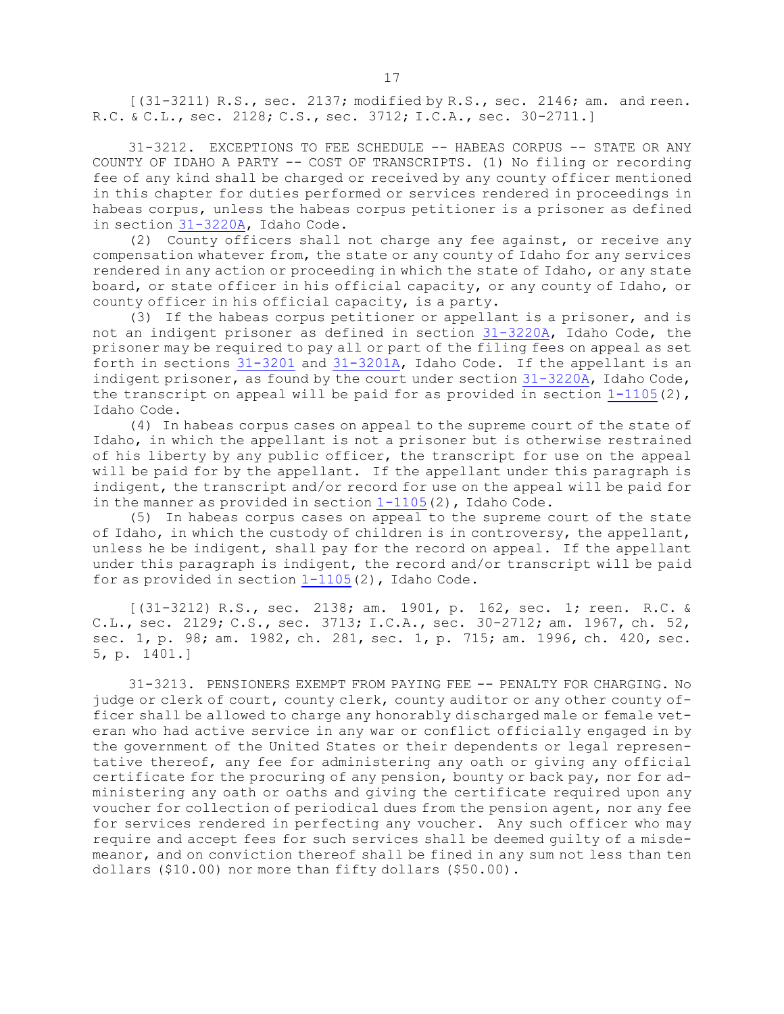[(31-3211) R.S., sec. 2137; modified by R.S., sec. 2146; am. and reen. R.C. & C.L., sec. 2128; C.S., sec. 3712; I.C.A., sec. 30-2711.]

31-3212. EXCEPTIONS TO FEE SCHEDULE -- HABEAS CORPUS -- STATE OR ANY COUNTY OF IDAHO <sup>A</sup> PARTY -- COST OF TRANSCRIPTS. (1) No filing or recording fee of any kind shall be charged or received by any county officer mentioned in this chapter for duties performed or services rendered in proceedings in habeas corpus, unless the habeas corpus petitioner is <sup>a</sup> prisoner as defined in section [31-3220A](https://legislature.idaho.gov/statutesrules/idstat/Title31/T31CH32/SECT31-3220A), Idaho Code.

(2) County officers shall not charge any fee against, or receive any compensation whatever from, the state or any county of Idaho for any services rendered in any action or proceeding in which the state of Idaho, or any state board, or state officer in his official capacity, or any county of Idaho, or county officer in his official capacity, is <sup>a</sup> party.

(3) If the habeas corpus petitioner or appellant is <sup>a</sup> prisoner, and is not an indigent prisoner as defined in section [31-3220A](https://legislature.idaho.gov/statutesrules/idstat/Title31/T31CH32/SECT31-3220A), Idaho Code, the prisoner may be required to pay all or part of the filing fees on appeal as set forth in sections [31-3201](https://legislature.idaho.gov/statutesrules/idstat/Title31/T31CH32/SECT31-3201) and [31-3201A](https://legislature.idaho.gov/statutesrules/idstat/Title31/T31CH32/SECT31-3201A), Idaho Code. If the appellant is an indigent prisoner, as found by the court under section [31-3220A](https://legislature.idaho.gov/statutesrules/idstat/Title31/T31CH32/SECT31-3220A), Idaho Code, the transcript on appeal will be paid for as provided in section  $1-1105(2)$  $1-1105(2)$ , Idaho Code.

(4) In habeas corpus cases on appeal to the supreme court of the state of Idaho, in which the appellant is not <sup>a</sup> prisoner but is otherwise restrained of his liberty by any public officer, the transcript for use on the appeal will be paid for by the appellant. If the appellant under this paragraph is indigent, the transcript and/or record for use on the appeal will be paid for in the manner as provided in section [1-1105](https://legislature.idaho.gov/statutesrules/idstat/Title1/T1CH11/SECT1-1105)(2), Idaho Code.

(5) In habeas corpus cases on appeal to the supreme court of the state of Idaho, in which the custody of children is in controversy, the appellant, unless he be indigent, shall pay for the record on appeal. If the appellant under this paragraph is indigent, the record and/or transcript will be paid for as provided in section  $1-1105(2)$  $1-1105(2)$ , Idaho Code.

[(31-3212) R.S., sec. 2138; am. 1901, p. 162, sec. 1; reen. R.C. & C.L., sec. 2129; C.S., sec. 3713; I.C.A., sec. 30-2712; am. 1967, ch. 52, sec. 1, p. 98; am. 1982, ch. 281, sec. 1, p. 715; am. 1996, ch. 420, sec. 5, p. 1401.]

31-3213. PENSIONERS EXEMPT FROM PAYING FEE -- PENALTY FOR CHARGING. No judge or clerk of court, county clerk, county auditor or any other county officer shall be allowed to charge any honorably discharged male or female veteran who had active service in any war or conflict officially engaged in by the government of the United States or their dependents or legal representative thereof, any fee for administering any oath or giving any official certificate for the procuring of any pension, bounty or back pay, nor for administering any oath or oaths and giving the certificate required upon any voucher for collection of periodical dues from the pension agent, nor any fee for services rendered in perfecting any voucher. Any such officer who may require and accept fees for such services shall be deemed guilty of <sup>a</sup> misdemeanor, and on conviction thereof shall be fined in any sum not less than ten dollars (\$10.00) nor more than fifty dollars (\$50.00).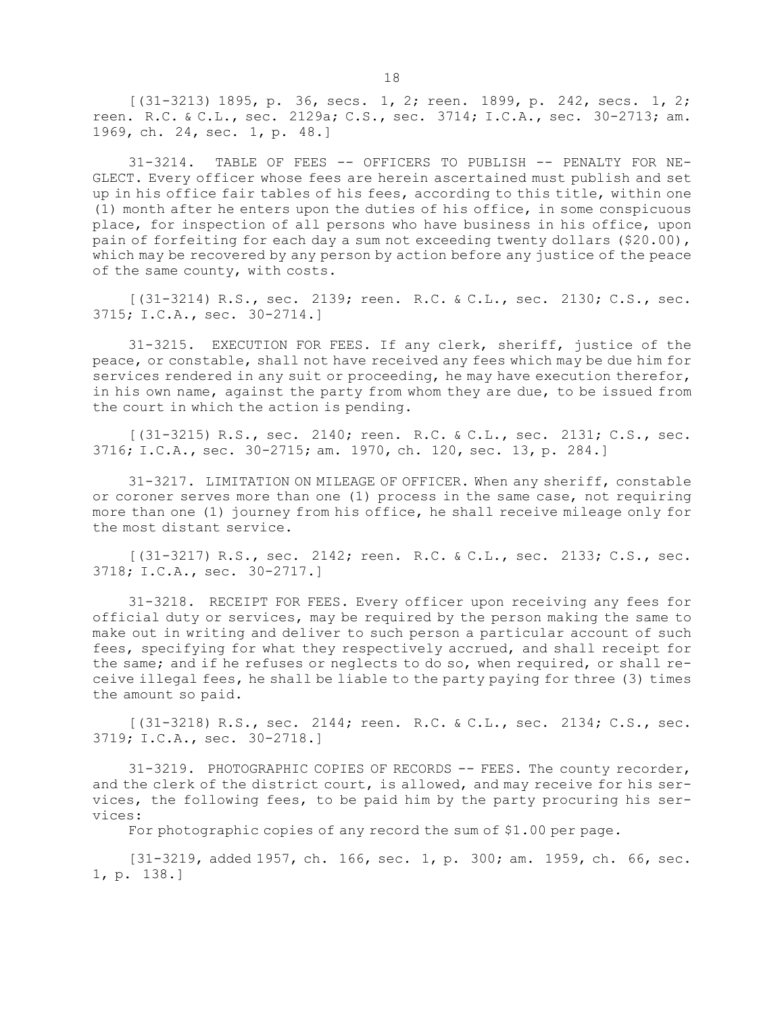[(31-3213) 1895, p. 36, secs. 1, 2; reen. 1899, p. 242, secs. 1, 2; reen. R.C. & C.L., sec. 2129a; C.S., sec. 3714; I.C.A., sec. 30-2713; am. 1969, ch. 24, sec. 1, p. 48.]

31-3214. TABLE OF FEES -- OFFICERS TO PUBLISH -- PENALTY FOR NE-GLECT. Every officer whose fees are herein ascertained must publish and set up in his office fair tables of his fees, according to this title, within one (1) month after he enters upon the duties of his office, in some conspicuous place, for inspection of all persons who have business in his office, upon pain of forfeiting for each day a sum not exceeding twenty dollars (\$20.00), which may be recovered by any person by action before any justice of the peace of the same county, with costs.

[(31-3214) R.S., sec. 2139; reen. R.C. & C.L., sec. 2130; C.S., sec. 3715; I.C.A., sec. 30-2714.]

31-3215. EXECUTION FOR FEES. If any clerk, sheriff, justice of the peace, or constable, shall not have received any fees which may be due him for services rendered in any suit or proceeding, he may have execution therefor, in his own name, against the party from whom they are due, to be issued from the court in which the action is pending.

[(31-3215) R.S., sec. 2140; reen. R.C. & C.L., sec. 2131; C.S., sec. 3716; I.C.A., sec. 30-2715; am. 1970, ch. 120, sec. 13, p. 284.]

31-3217. LIMITATION ON MILEAGE OF OFFICER. When any sheriff, constable or coroner serves more than one (1) process in the same case, not requiring more than one (1) journey from his office, he shall receive mileage only for the most distant service.

[(31-3217) R.S., sec. 2142; reen. R.C. & C.L., sec. 2133; C.S., sec. 3718; I.C.A., sec. 30-2717.]

31-3218. RECEIPT FOR FEES. Every officer upon receiving any fees for official duty or services, may be required by the person making the same to make out in writing and deliver to such person <sup>a</sup> particular account of such fees, specifying for what they respectively accrued, and shall receipt for the same; and if he refuses or neglects to do so, when required, or shall receive illegal fees, he shall be liable to the party paying for three (3) times the amount so paid.

[(31-3218) R.S., sec. 2144; reen. R.C. & C.L., sec. 2134; C.S., sec. 3719; I.C.A., sec. 30-2718.]

31-3219. PHOTOGRAPHIC COPIES OF RECORDS -- FEES. The county recorder, and the clerk of the district court, is allowed, and may receive for his services, the following fees, to be paid him by the party procuring his services:

For photographic copies of any record the sum of \$1.00 per page.

[31-3219, added 1957, ch. 166, sec. 1, p. 300; am. 1959, ch. 66, sec. 1, p. 138.]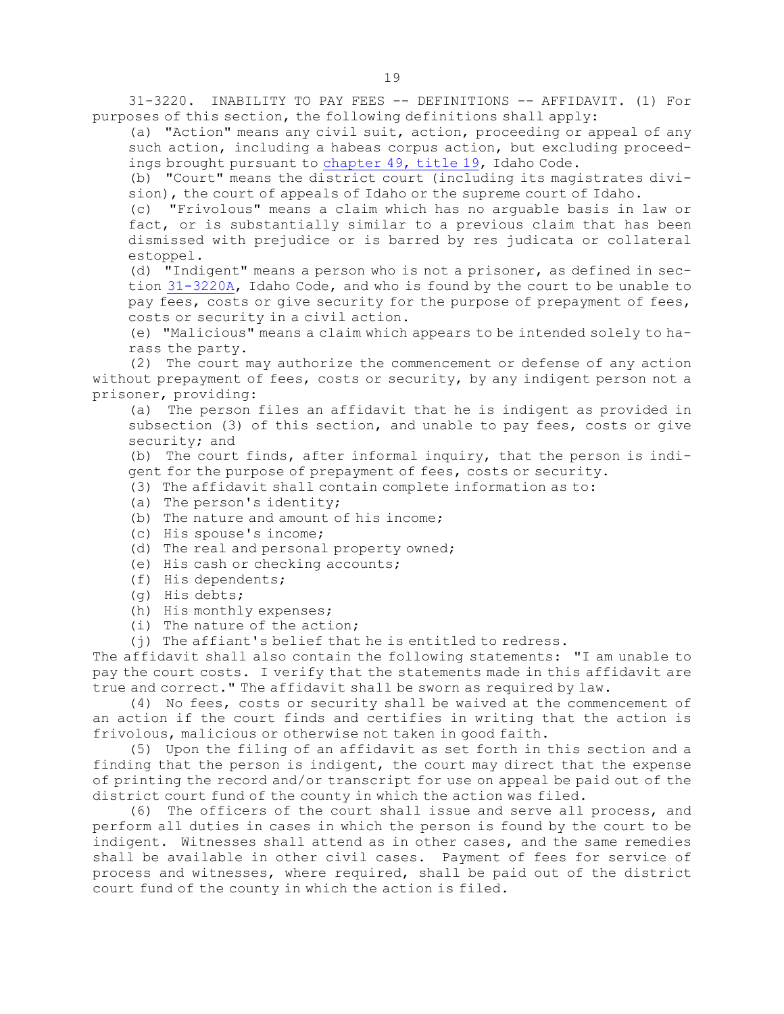31-3220. INABILITY TO PAY FEES -- DEFINITIONS -- AFFIDAVIT. (1) For purposes of this section, the following definitions shall apply:

(a) "Action" means any civil suit, action, proceeding or appeal of any such action, including <sup>a</sup> habeas corpus action, but excluding proceedings brought pursuant to [chapter](https://legislature.idaho.gov/statutesrules/idstat/Title19/T19CH49) 49, title 19, Idaho Code.

(b) "Court" means the district court (including its magistrates division), the court of appeals of Idaho or the supreme court of Idaho.

(c) "Frivolous" means <sup>a</sup> claim which has no arguable basis in law or fact, or is substantially similar to <sup>a</sup> previous claim that has been dismissed with prejudice or is barred by res judicata or collateral estoppel.

(d) "Indigent" means <sup>a</sup> person who is not <sup>a</sup> prisoner, as defined in section [31-3220A](https://legislature.idaho.gov/statutesrules/idstat/Title31/T31CH32/SECT31-3220A), Idaho Code, and who is found by the court to be unable to pay fees, costs or give security for the purpose of prepayment of fees, costs or security in <sup>a</sup> civil action.

(e) "Malicious" means <sup>a</sup> claim which appears to be intended solely to harass the party.

(2) The court may authorize the commencement or defense of any action without prepayment of fees, costs or security, by any indigent person not a prisoner, providing:

(a) The person files an affidavit that he is indigent as provided in subsection (3) of this section, and unable to pay fees, costs or give security; and

(b) The court finds, after informal inquiry, that the person is indigent for the purpose of prepayment of fees, costs or security.

- (3) The affidavit shall contain complete information as to:
- (a) The person's identity;
- (b) The nature and amount of his income;
- (c) His spouse's income;
- (d) The real and personal property owned;
- (e) His cash or checking accounts;
- (f) His dependents;
- (g) His debts;
- (h) His monthly expenses;
- (i) The nature of the action;
- (j) The affiant's belief that he is entitled to redress.

The affidavit shall also contain the following statements: "I am unable to pay the court costs. <sup>I</sup> verify that the statements made in this affidavit are true and correct." The affidavit shall be sworn as required by law.

(4) No fees, costs or security shall be waived at the commencement of an action if the court finds and certifies in writing that the action is frivolous, malicious or otherwise not taken in good faith.

(5) Upon the filing of an affidavit as set forth in this section and <sup>a</sup> finding that the person is indigent, the court may direct that the expense of printing the record and/or transcript for use on appeal be paid out of the district court fund of the county in which the action was filed.

(6) The officers of the court shall issue and serve all process, and perform all duties in cases in which the person is found by the court to be indigent. Witnesses shall attend as in other cases, and the same remedies shall be available in other civil cases. Payment of fees for service of process and witnesses, where required, shall be paid out of the district court fund of the county in which the action is filed.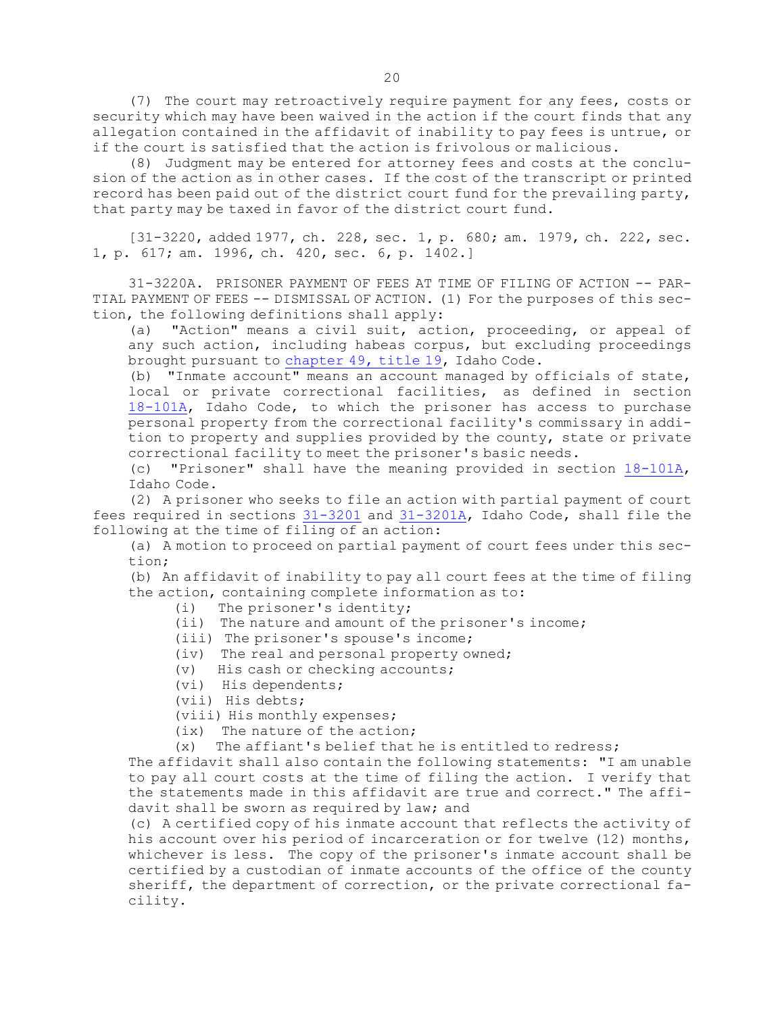(7) The court may retroactively require payment for any fees, costs or security which may have been waived in the action if the court finds that any allegation contained in the affidavit of inability to pay fees is untrue, or if the court is satisfied that the action is frivolous or malicious.

(8) Judgment may be entered for attorney fees and costs at the conclusion of the action as in other cases. If the cost of the transcript or printed record has been paid out of the district court fund for the prevailing party, that party may be taxed in favor of the district court fund.

[31-3220, added 1977, ch. 228, sec. 1, p. 680; am. 1979, ch. 222, sec. 1, p. 617; am. 1996, ch. 420, sec. 6, p. 1402.]

31-3220A. PRISONER PAYMENT OF FEES AT TIME OF FILING OF ACTION -- PAR-TIAL PAYMENT OF FEES -- DISMISSAL OF ACTION. (1) For the purposes of this section, the following definitions shall apply:

(a) "Action" means <sup>a</sup> civil suit, action, proceeding, or appeal of any such action, including habeas corpus, but excluding proceedings brought pursuant to [chapter](https://legislature.idaho.gov/statutesrules/idstat/Title19/T19CH49) 49, title 19, Idaho Code.

(b) "Inmate account" means an account managed by officials of state, local or private correctional facilities, as defined in section [18-101A](https://legislature.idaho.gov/statutesrules/idstat/Title18/T18CH1/SECT18-101A), Idaho Code, to which the prisoner has access to purchase personal property from the correctional facility's commissary in addition to property and supplies provided by the county, state or private correctional facility to meet the prisoner's basic needs.

(c) "Prisoner" shall have the meaning provided in section [18-101A](https://legislature.idaho.gov/statutesrules/idstat/Title18/T18CH1/SECT18-101A), Idaho Code.

(2) <sup>A</sup> prisoner who seeks to file an action with partial payment of court fees required in sections [31-3201](https://legislature.idaho.gov/statutesrules/idstat/Title31/T31CH32/SECT31-3201) and [31-3201A](https://legislature.idaho.gov/statutesrules/idstat/Title31/T31CH32/SECT31-3201A), Idaho Code, shall file the following at the time of filing of an action:

(a) <sup>A</sup> motion to proceed on partial payment of court fees under this section;

(b) An affidavit of inability to pay all court fees at the time of filing the action, containing complete information as to:

- (i) The prisoner's identity;
- (ii) The nature and amount of the prisoner's income;
- (iii) The prisoner's spouse's income;
- (iv) The real and personal property owned;
- (v) His cash or checking accounts;
- (vi) His dependents;
- (vii) His debts;
- (viii) His monthly expenses;
- (ix) The nature of the action;
- (x) The affiant's belief that he is entitled to redress;

The affidavit shall also contain the following statements: "I am unable to pay all court costs at the time of filing the action. <sup>I</sup> verify that the statements made in this affidavit are true and correct." The affidavit shall be sworn as required by law; and

(c) <sup>A</sup> certified copy of his inmate account that reflects the activity of his account over his period of incarceration or for twelve (12) months, whichever is less. The copy of the prisoner's inmate account shall be certified by <sup>a</sup> custodian of inmate accounts of the office of the county sheriff, the department of correction, or the private correctional facility.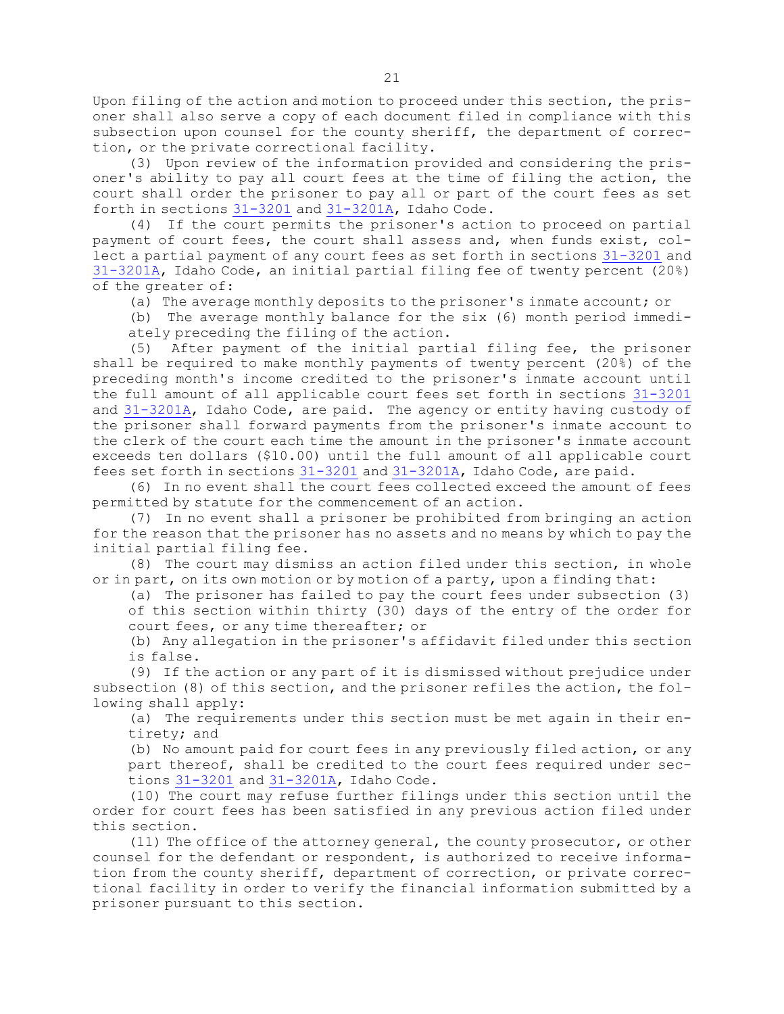Upon filing of the action and motion to proceed under this section, the prisoner shall also serve <sup>a</sup> copy of each document filed in compliance with this subsection upon counsel for the county sheriff, the department of correction, or the private correctional facility.

(3) Upon review of the information provided and considering the prisoner's ability to pay all court fees at the time of filing the action, the court shall order the prisoner to pay all or part of the court fees as set forth in sections [31-3201](https://legislature.idaho.gov/statutesrules/idstat/Title31/T31CH32/SECT31-3201) and [31-3201A](https://legislature.idaho.gov/statutesrules/idstat/Title31/T31CH32/SECT31-3201A), Idaho Code.

(4) If the court permits the prisoner's action to proceed on partial payment of court fees, the court shall assess and, when funds exist, collect <sup>a</sup> partial payment of any court fees as set forth in sections [31-3201](https://legislature.idaho.gov/statutesrules/idstat/Title31/T31CH32/SECT31-3201) and [31-3201A](https://legislature.idaho.gov/statutesrules/idstat/Title31/T31CH32/SECT31-3201A), Idaho Code, an initial partial filing fee of twenty percent (20%) of the greater of:

(a) The average monthly deposits to the prisoner's inmate account; or

(b) The average monthly balance for the six (6) month period immediately preceding the filing of the action.

(5) After payment of the initial partial filing fee, the prisoner shall be required to make monthly payments of twenty percent (20%) of the preceding month's income credited to the prisoner's inmate account until the full amount of all applicable court fees set forth in sections [31-3201](https://legislature.idaho.gov/statutesrules/idstat/Title31/T31CH32/SECT31-3201) and [31-3201A](https://legislature.idaho.gov/statutesrules/idstat/Title31/T31CH32/SECT31-3201A), Idaho Code, are paid. The agency or entity having custody of the prisoner shall forward payments from the prisoner's inmate account to the clerk of the court each time the amount in the prisoner's inmate account exceeds ten dollars (\$10.00) until the full amount of all applicable court fees set forth in sections [31-3201](https://legislature.idaho.gov/statutesrules/idstat/Title31/T31CH32/SECT31-3201) and [31-3201A](https://legislature.idaho.gov/statutesrules/idstat/Title31/T31CH32/SECT31-3201A), Idaho Code, are paid.

(6) In no event shall the court fees collected exceed the amount of fees permitted by statute for the commencement of an action.

(7) In no event shall <sup>a</sup> prisoner be prohibited from bringing an action for the reason that the prisoner has no assets and no means by which to pay the initial partial filing fee.

(8) The court may dismiss an action filed under this section, in whole or in part, on its own motion or by motion of <sup>a</sup> party, upon <sup>a</sup> finding that:

(a) The prisoner has failed to pay the court fees under subsection (3) of this section within thirty (30) days of the entry of the order for

court fees, or any time thereafter; or

(b) Any allegation in the prisoner's affidavit filed under this section is false.

(9) If the action or any part of it is dismissed without prejudice under subsection (8) of this section, and the prisoner refiles the action, the following shall apply:

(a) The requirements under this section must be met again in their entirety; and

(b) No amount paid for court fees in any previously filed action, or any part thereof, shall be credited to the court fees required under sections [31-3201](https://legislature.idaho.gov/statutesrules/idstat/Title31/T31CH32/SECT31-3201) and [31-3201A](https://legislature.idaho.gov/statutesrules/idstat/Title31/T31CH32/SECT31-3201A), Idaho Code.

(10) The court may refuse further filings under this section until the order for court fees has been satisfied in any previous action filed under this section.

(11) The office of the attorney general, the county prosecutor, or other counsel for the defendant or respondent, is authorized to receive information from the county sheriff, department of correction, or private correctional facility in order to verify the financial information submitted by <sup>a</sup> prisoner pursuant to this section.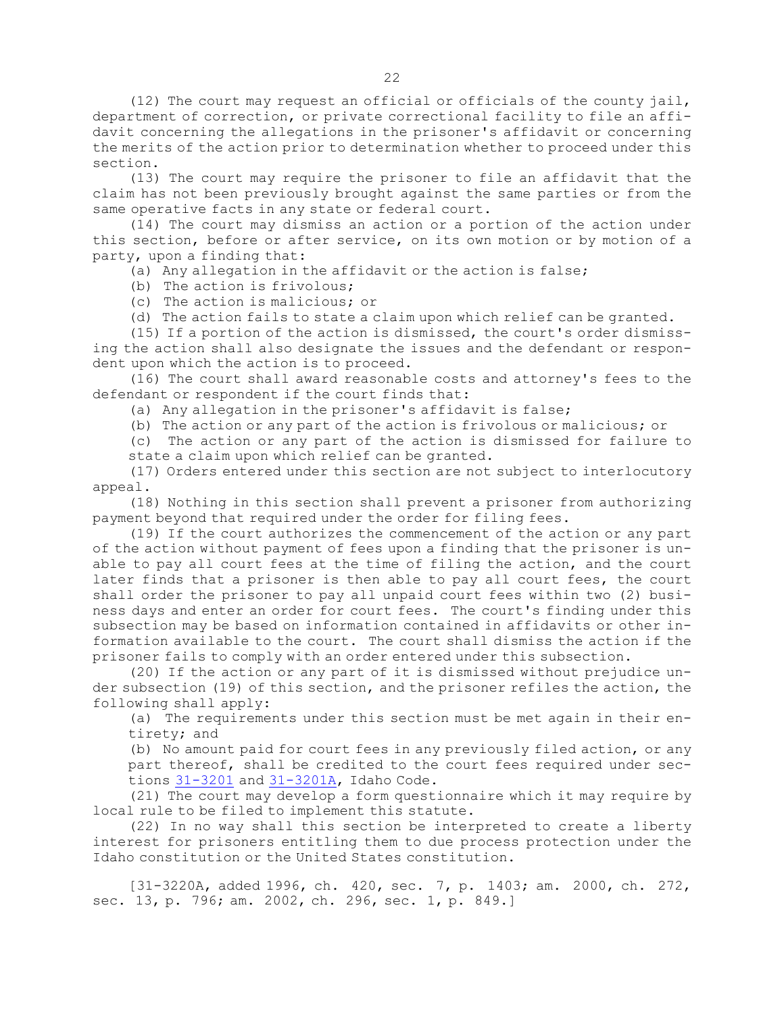(12) The court may request an official or officials of the county jail, department of correction, or private correctional facility to file an affidavit concerning the allegations in the prisoner's affidavit or concerning the merits of the action prior to determination whether to proceed under this section.

(13) The court may require the prisoner to file an affidavit that the claim has not been previously brought against the same parties or from the same operative facts in any state or federal court.

(14) The court may dismiss an action or <sup>a</sup> portion of the action under this section, before or after service, on its own motion or by motion of <sup>a</sup> party, upon <sup>a</sup> finding that:

(a) Any allegation in the affidavit or the action is false;

- (b) The action is frivolous;
- (c) The action is malicious; or

(d) The action fails to state <sup>a</sup> claim upon which relief can be granted.

(15) If <sup>a</sup> portion of the action is dismissed, the court's order dismissing the action shall also designate the issues and the defendant or respondent upon which the action is to proceed.

(16) The court shall award reasonable costs and attorney's fees to the defendant or respondent if the court finds that:

- (a) Any allegation in the prisoner's affidavit is false;
- (b) The action or any part of the action is frivolous or malicious; or

(c) The action or any part of the action is dismissed for failure to state <sup>a</sup> claim upon which relief can be granted.

(17) Orders entered under this section are not subject to interlocutory appeal.

(18) Nothing in this section shall prevent <sup>a</sup> prisoner from authorizing payment beyond that required under the order for filing fees.

(19) If the court authorizes the commencement of the action or any part of the action without payment of fees upon <sup>a</sup> finding that the prisoner is unable to pay all court fees at the time of filing the action, and the court later finds that <sup>a</sup> prisoner is then able to pay all court fees, the court shall order the prisoner to pay all unpaid court fees within two (2) business days and enter an order for court fees. The court's finding under this subsection may be based on information contained in affidavits or other information available to the court. The court shall dismiss the action if the prisoner fails to comply with an order entered under this subsection.

(20) If the action or any part of it is dismissed without prejudice under subsection (19) of this section, and the prisoner refiles the action, the following shall apply:

(a) The requirements under this section must be met again in their entirety; and

(b) No amount paid for court fees in any previously filed action, or any part thereof, shall be credited to the court fees required under sections [31-3201](https://legislature.idaho.gov/statutesrules/idstat/Title31/T31CH32/SECT31-3201) and [31-3201A](https://legislature.idaho.gov/statutesrules/idstat/Title31/T31CH32/SECT31-3201A), Idaho Code.

(21) The court may develop <sup>a</sup> form questionnaire which it may require by local rule to be filed to implement this statute.

(22) In no way shall this section be interpreted to create <sup>a</sup> liberty interest for prisoners entitling them to due process protection under the Idaho constitution or the United States constitution.

[31-3220A, added 1996, ch. 420, sec. 7, p. 1403; am. 2000, ch. 272, sec. 13, p. 796; am. 2002, ch. 296, sec. 1, p. 849.]